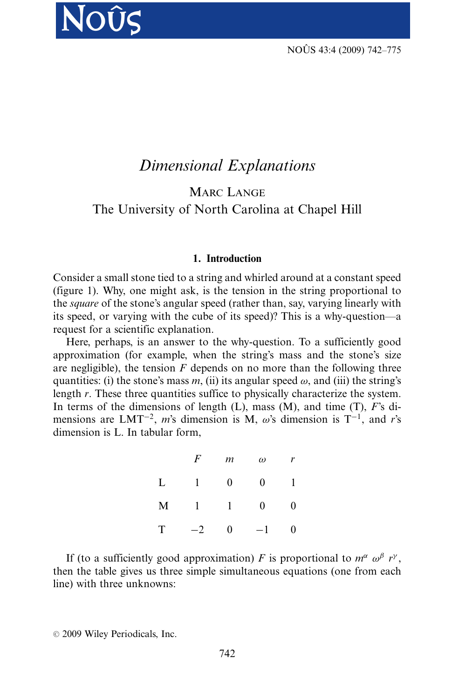

# *Dimensional Explanations*

MARC LANGE The University of North Carolina at Chapel Hill

### **1. Introduction**

Consider a small stone tied to a string and whirled around at a constant speed (figure 1). Why, one might ask, is the tension in the string proportional to the *square* of the stone's angular speed (rather than, say, varying linearly with its speed, or varying with the cube of its speed)? This is a why-question—a request for a scientific explanation.

Here, perhaps, is an answer to the why-question. To a sufficiently good approximation (for example, when the string's mass and the stone's size are negligible), the tension *F* depends on no more than the following three quantities: (i) the stone's mass *m*, (ii) its angular speed  $\omega$ , and (iii) the string's length *r*. These three quantities suffice to physically characterize the system. In terms of the dimensions of length (L), mass (M), and time (T), *F*'s dimensions are LMT<sup>-2</sup>, *m*'s dimension is M,  $\omega$ 's dimension is T<sup>-1</sup>, and *r*'s dimension is L. In tabular form,

|   | $\vert F \vert$       | m | $\omega$     | r |
|---|-----------------------|---|--------------|---|
| L | $1 \qquad 0$          |   | $0 \qquad 1$ |   |
|   | $M \qquad 1 \qquad 1$ |   | $0\qquad 0$  |   |
|   | $T = -2$ 0 $-1$ 0     |   |              |   |

If (to a sufficiently good approximation) *F* is proportional to  $m^{\alpha} \omega^{\beta} r^{\gamma}$ , then the table gives us three simple simultaneous equations (one from each line) with three unknowns:

 $© 2009$  Wiley Periodicals, Inc.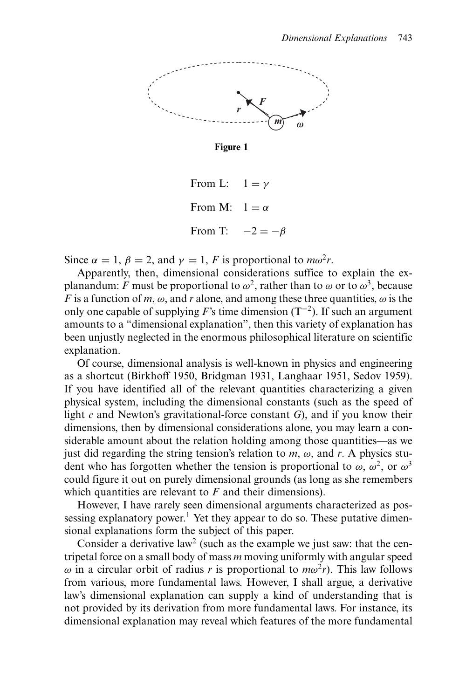

**Figure 1**

From L:  $1 = v$ From M:  $1 = \alpha$ From T:  $-2 = -\beta$ 

Since  $\alpha = 1$ ,  $\beta = 2$ , and  $\gamma = 1$ , *F* is proportional to  $m\omega^2 r$ .

Apparently, then, dimensional considerations suffice to explain the explanandum: *F* must be proportional to  $\omega^2$ , rather than to  $\omega$  or to  $\omega^3$ , because *F* is a function of *m*,  $\omega$ , and *r* alone, and among these three quantities,  $\omega$  is the only one capable of supplying *F*'s time dimension  $(T^{-2})$ . If such an argument amounts to a "dimensional explanation", then this variety of explanation has been unjustly neglected in the enormous philosophical literature on scientific explanation.

Of course, dimensional analysis is well-known in physics and engineering as a shortcut (Birkhoff 1950, Bridgman 1931, Langhaar 1951, Sedov 1959). If you have identified all of the relevant quantities characterizing a given physical system, including the dimensional constants (such as the speed of light *c* and Newton's gravitational-force constant *G*), and if you know their dimensions, then by dimensional considerations alone, you may learn a considerable amount about the relation holding among those quantities—as we just did regarding the string tension's relation to  $m$ ,  $\omega$ , and  $r$ . A physics student who has forgotten whether the tension is proportional to  $\omega$ ,  $\omega^2$ , or  $\omega^3$ could figure it out on purely dimensional grounds (as long as she remembers which quantities are relevant to *F* and their dimensions).

However, I have rarely seen dimensional arguments characterized as possessing explanatory power.<sup>1</sup> Yet they appear to do so. These putative dimensional explanations form the subject of this paper.

Consider a derivative law<sup>2</sup> (such as the example we just saw: that the centripetal force on a small body of mass *m* moving uniformly with angular speed  $ω$  in a circular orbit of radius *r* is proportional to  $mω<sup>2</sup>r$ ). This law follows from various, more fundamental laws. However, I shall argue, a derivative law's dimensional explanation can supply a kind of understanding that is not provided by its derivation from more fundamental laws. For instance, its dimensional explanation may reveal which features of the more fundamental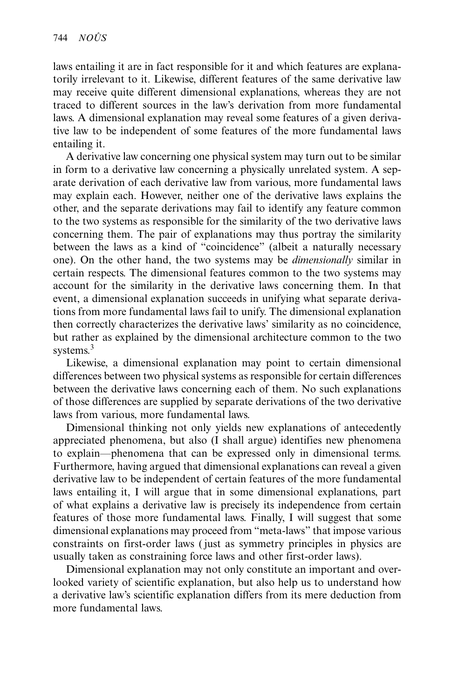laws entailing it are in fact responsible for it and which features are explanatorily irrelevant to it. Likewise, different features of the same derivative law may receive quite different dimensional explanations, whereas they are not traced to different sources in the law's derivation from more fundamental laws. A dimensional explanation may reveal some features of a given derivative law to be independent of some features of the more fundamental laws entailing it.

A derivative law concerning one physical system may turn out to be similar in form to a derivative law concerning a physically unrelated system. A separate derivation of each derivative law from various, more fundamental laws may explain each. However, neither one of the derivative laws explains the other, and the separate derivations may fail to identify any feature common to the two systems as responsible for the similarity of the two derivative laws concerning them. The pair of explanations may thus portray the similarity between the laws as a kind of "coincidence" (albeit a naturally necessary one). On the other hand, the two systems may be *dimensionally* similar in certain respects. The dimensional features common to the two systems may account for the similarity in the derivative laws concerning them. In that event, a dimensional explanation succeeds in unifying what separate derivations from more fundamental laws fail to unify. The dimensional explanation then correctly characterizes the derivative laws' similarity as no coincidence, but rather as explained by the dimensional architecture common to the two systems.<sup>3</sup>

Likewise, a dimensional explanation may point to certain dimensional differences between two physical systems as responsible for certain differences between the derivative laws concerning each of them. No such explanations of those differences are supplied by separate derivations of the two derivative laws from various, more fundamental laws.

Dimensional thinking not only yields new explanations of antecedently appreciated phenomena, but also (I shall argue) identifies new phenomena to explain—phenomena that can be expressed only in dimensional terms. Furthermore, having argued that dimensional explanations can reveal a given derivative law to be independent of certain features of the more fundamental laws entailing it, I will argue that in some dimensional explanations, part of what explains a derivative law is precisely its independence from certain features of those more fundamental laws. Finally, I will suggest that some dimensional explanations may proceed from "meta-laws" that impose various constraints on first-order laws ( just as symmetry principles in physics are usually taken as constraining force laws and other first-order laws).

Dimensional explanation may not only constitute an important and overlooked variety of scientific explanation, but also help us to understand how a derivative law's scientific explanation differs from its mere deduction from more fundamental laws.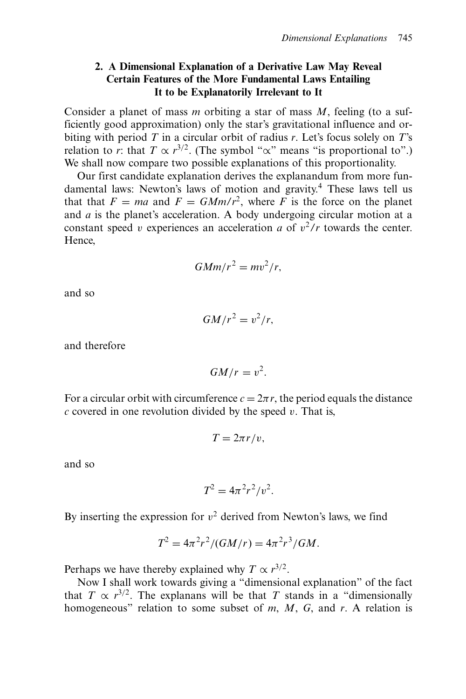# **2. A Dimensional Explanation of a Derivative Law May Reveal Certain Features of the More Fundamental Laws Entailing It to be Explanatorily Irrelevant to It**

Consider a planet of mass *m* orbiting a star of mass *M*, feeling (to a sufficiently good approximation) only the star's gravitational influence and orbiting with period *T* in a circular orbit of radius *r*. Let's focus solely on *T*'s relation to *r*: that  $T \propto r^{3/2}$ . (The symbol "∝" means "is proportional to".) We shall now compare two possible explanations of this proportionality.

Our first candidate explanation derives the explanandum from more fundamental laws: Newton's laws of motion and gravity.4 These laws tell us that that  $F = ma$  and  $F = GMm/r^2$ , where *F* is the force on the planet and *a* is the planet's acceleration. A body undergoing circular motion at a constant speed v experiences an acceleration *a* of  $v^2/r$  towards the center. Hence,

$$
GMm/r^2 = mv^2/r,
$$

and so

$$
GM/r^2 = v^2/r,
$$

and therefore

$$
GM/r=v^2.
$$

For a circular orbit with circumference  $c = 2\pi r$ , the period equals the distance  $c$  covered in one revolution divided by the speed  $v$ . That is,

$$
T=2\pi r/v,
$$

and so

$$
T^2 = 4\pi^2 r^2/v^2.
$$

By inserting the expression for  $v^2$  derived from Newton's laws, we find

$$
T^2 = 4\pi^2 r^2 / (GM/r) = 4\pi^2 r^3 / GM.
$$

Perhaps we have thereby explained why  $T \propto r^{3/2}$ .

Now I shall work towards giving a "dimensional explanation" of the fact that  $T \propto r^{3/2}$ . The explanans will be that *T* stands in a "dimensionally" homogeneous" relation to some subset of *m*, *M*, *G*, and *r*. A relation is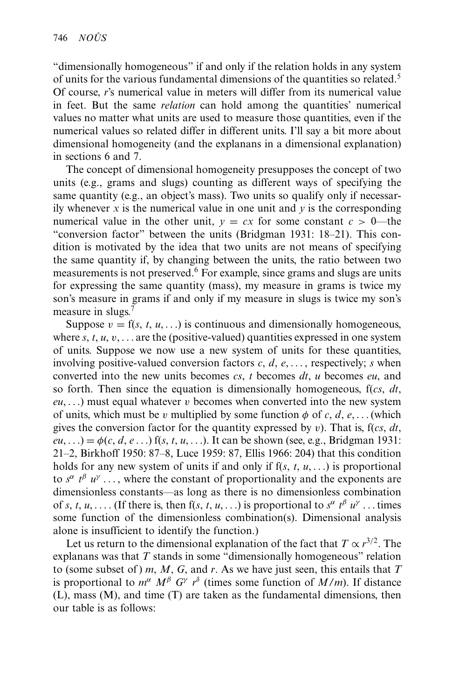"dimensionally homogeneous" if and only if the relation holds in any system of units for the various fundamental dimensions of the quantities so related.5 Of course, *r*'s numerical value in meters will differ from its numerical value in feet. But the same *relation* can hold among the quantities' numerical values no matter what units are used to measure those quantities, even if the numerical values so related differ in different units. I'll say a bit more about dimensional homogeneity (and the explanans in a dimensional explanation) in sections 6 and 7.

The concept of dimensional homogeneity presupposes the concept of two units (e.g., grams and slugs) counting as different ways of specifying the same quantity (e.g., an object's mass). Two units so qualify only if necessarily whenever  $x$  is the numerical value in one unit and  $y$  is the corresponding numerical value in the other unit,  $y = cx$  for some constant  $c > 0$ —the "conversion factor" between the units (Bridgman 1931: 18–21). This condition is motivated by the idea that two units are not means of specifying the same quantity if, by changing between the units, the ratio between two measurements is not preserved.<sup>6</sup> For example, since grams and slugs are units for expressing the same quantity (mass), my measure in grams is twice my son's measure in grams if and only if my measure in slugs is twice my son's measure in slugs.<sup>7</sup>

Suppose  $v = f(s, t, u, \ldots)$  is continuous and dimensionally homogeneous, where  $s, t, u, v, \ldots$  are the (positive-valued) quantities expressed in one system of units. Suppose we now use a new system of units for these quantities, involving positive-valued conversion factors *c*, *d*, *e*, ... , respectively; *s* when converted into the new units becomes *cs*, *t* becomes *dt*, *u* becomes *eu*, and so forth. Then since the equation is dimensionally homogeneous, f(*cs*, *dt*,  $eu$ , ...) must equal whatever v becomes when converted into the new system of units, which must be v multiplied by some function  $\phi$  of c, d, e, ... (which gives the conversion factor for the quantity expressed by v). That is,  $f(c, d, d)$ ,  $eu$ , ...) =  $\phi$ (*c*, *d*, *e* ...)  $f(s, t, u, \ldots)$ . It can be shown (see, e.g., Bridgman 1931: 21–2, Birkhoff 1950: 87–8, Luce 1959: 87, Ellis 1966: 204) that this condition holds for any new system of units if and only if f(*s*, *t*, *u*, ...) is proportional to  $s^{\alpha}$   $t^{\beta}$   $u^{\gamma}$ ..., where the constant of proportionality and the exponents are dimensionless constants—as long as there is no dimensionless combination of *s*, *t*, *u*, ... . (If there is, then  $f(s, t, u, ...)$  is proportional to  $s^{\alpha} t^{\beta} u^{\gamma}$  ... times some function of the dimensionless combination(s). Dimensional analysis alone is insufficient to identify the function.)

Let us return to the dimensional explanation of the fact that  $T \propto r^{3/2}$ . The explanans was that *T* stands in some "dimensionally homogeneous" relation to (some subset of ) *m*, *M*, *G*, and *r*. As we have just seen, this entails that *T* is proportional to  $m^{\alpha} M^{\beta} G^{\gamma} r^{\delta}$  (times some function of  $M/m$ ). If distance (L), mass (M), and time (T) are taken as the fundamental dimensions, then our table is as follows: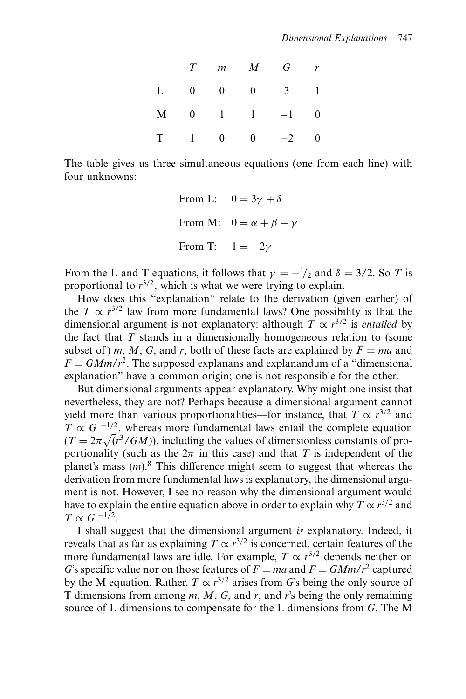|  |  | $T$ m $M$ $G$ r                                     |  |
|--|--|-----------------------------------------------------|--|
|  |  | $\begin{matrix} L & 0 & 0 & 0 & 3 & 1 \end{matrix}$ |  |
|  |  | $M$ 0 1 1 -1 0                                      |  |
|  |  | $T \t1 \t0 \t0 \t-2 \t0$                            |  |

The table gives us three simultaneous equations (one from each line) with four unknowns:

```
From L: 0 = 3\gamma + \deltaFrom M: 0 = \alpha + \beta - \gammaFrom T: 1 = -2\gamma
```
From the L and T equations, it follows that  $\gamma = -\frac{1}{2}$  and  $\delta = 3/2$ . So *T* is proportional to  $r^{3/2}$ , which is what we were trying to explain.

How does this "explanation" relate to the derivation (given earlier) of the *T*  $\propto r^{3/2}$  law from more fundamental laws? One possibility is that the dimensional argument is not explanatory: although  $\overline{T} \propto r^{3/2}$  is *entailed* by the fact that *T* stands in a dimensionally homogeneous relation to (some subset of ) *m*, *M*, *G*, and *r*, both of these facts are explained by  $F = ma$  and  $F = GMm/r^2$ . The supposed explanans and explanandum of a "dimensional" explanation" have a common origin; one is not responsible for the other.

But dimensional arguments appear explanatory. Why might one insist that nevertheless, they are not? Perhaps because a dimensional argument cannot yield more than various proportionalities—for instance, that  $T \propto r^{3/2}$  and  $T \propto G^{-1/2}$ , whereas more fundamental laws entail the complete equation  $(T = 2\pi \sqrt{(r^3/GM)})$ , including the values of dimensionless constants of proportionality (such as the  $2\pi$  in this case) and that *T* is independent of the planet's mass (*m*).8 This difference might seem to suggest that whereas the derivation from more fundamental laws is explanatory, the dimensional argument is not. However, I see no reason why the dimensional argument would have to explain the entire equation above in order to explain why  $T \propto r^{3/2}$  and  $T \propto G^{-1/2}$ .

I shall suggest that the dimensional argument *is* explanatory. Indeed, it reveals that as far as explaining  $T \propto r^{3/2}$  is concerned, certain features of the more fundamental laws are idle. For example,  $T \propto r^{3/2}$  depends neither on *G*'s specific value nor on those features of  $F = ma$  and  $F = GMm/r^2$  captured by the M equation. Rather,  $T \propto r^{3/2}$  arises from *G*'s being the only source of T dimensions from among *m*, *M*, *G*, and *r*, and *r*'s being the only remaining source of L dimensions to compensate for the L dimensions from *G*. The M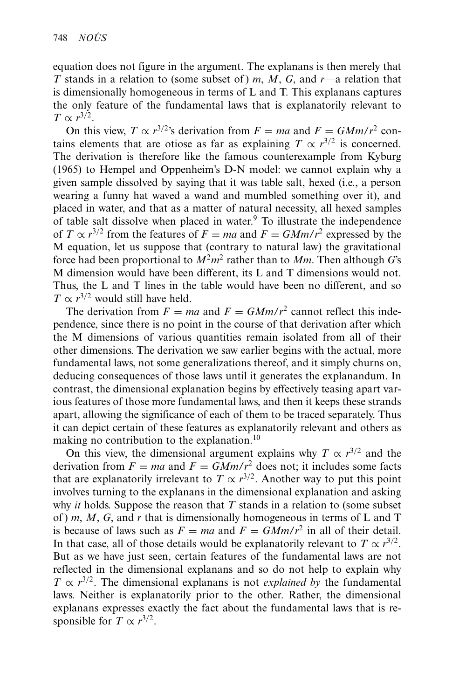equation does not figure in the argument. The explanans is then merely that *T* stands in a relation to (some subset of ) *m*, *M*, *G*, and *r*—a relation that is dimensionally homogeneous in terms of L and T. This explanans captures the only feature of the fundamental laws that is explanatorily relevant to  $T \propto r^{3/2}$ .

On this view,  $T \propto r^{3/2}$ 's derivation from  $F = ma$  and  $F = GMm/r^2$  contains elements that are otiose as far as explaining  $T \propto r^{3/2}$  is concerned. The derivation is therefore like the famous counterexample from Kyburg (1965) to Hempel and Oppenheim's D-N model: we cannot explain why a given sample dissolved by saying that it was table salt, hexed (i.e., a person wearing a funny hat waved a wand and mumbled something over it), and placed in water, and that as a matter of natural necessity, all hexed samples of table salt dissolve when placed in water.<sup>9</sup> To illustrate the independence of  $T \propto r^{3/2}$  from the features of  $F = ma$  and  $F = GMm/r^2$  expressed by the M equation, let us suppose that (contrary to natural law) the gravitational force had been proportional to  $M^2m^2$  rather than to Mm. Then although G's M dimension would have been different, its L and T dimensions would not. Thus, the L and T lines in the table would have been no different, and so  $T \propto r^{3/2}$  would still have held.

The derivation from  $F = ma$  and  $F = GMm/r^2$  cannot reflect this independence, since there is no point in the course of that derivation after which the M dimensions of various quantities remain isolated from all of their other dimensions. The derivation we saw earlier begins with the actual, more fundamental laws, not some generalizations thereof, and it simply churns on, deducing consequences of those laws until it generates the explanandum. In contrast, the dimensional explanation begins by effectively teasing apart various features of those more fundamental laws, and then it keeps these strands apart, allowing the significance of each of them to be traced separately. Thus it can depict certain of these features as explanatorily relevant and others as making no contribution to the explanation.<sup>10</sup>

On this view, the dimensional argument explains why  $T \propto r^{3/2}$  and the derivation from  $F = ma$  and  $F = GMm/r^2$  does not; it includes some facts that are explanatorily irrelevant to  $T \propto r^{3/2}$ . Another way to put this point involves turning to the explanans in the dimensional explanation and asking why *it* holds. Suppose the reason that *T* stands in a relation to (some subset of ) *m*, *M*, *G*, and *r* that is dimensionally homogeneous in terms of L and T is because of laws such as  $F = ma$  and  $F = GMm/r^2$  in all of their detail. In that case, all of those details would be explanatorily relevant to  $T \propto r^{3/2}$ . But as we have just seen, certain features of the fundamental laws are not reflected in the dimensional explanans and so do not help to explain why  $T \propto r^{3/2}$ . The dimensional explanans is not *explained by* the fundamental laws. Neither is explanatorily prior to the other. Rather, the dimensional explanans expresses exactly the fact about the fundamental laws that is responsible for  $T \propto r^{3/2}$ .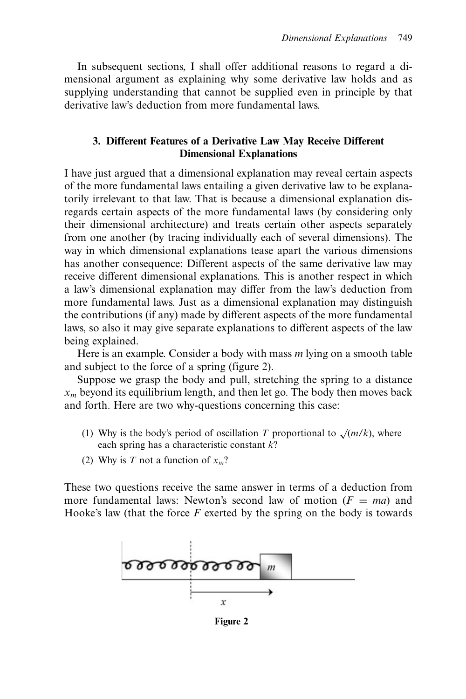In subsequent sections, I shall offer additional reasons to regard a dimensional argument as explaining why some derivative law holds and as supplying understanding that cannot be supplied even in principle by that derivative law's deduction from more fundamental laws.

## **3. Different Features of a Derivative Law May Receive Different Dimensional Explanations**

I have just argued that a dimensional explanation may reveal certain aspects of the more fundamental laws entailing a given derivative law to be explanatorily irrelevant to that law. That is because a dimensional explanation disregards certain aspects of the more fundamental laws (by considering only their dimensional architecture) and treats certain other aspects separately from one another (by tracing individually each of several dimensions). The way in which dimensional explanations tease apart the various dimensions has another consequence: Different aspects of the same derivative law may receive different dimensional explanations. This is another respect in which a law's dimensional explanation may differ from the law's deduction from more fundamental laws. Just as a dimensional explanation may distinguish the contributions (if any) made by different aspects of the more fundamental laws, so also it may give separate explanations to different aspects of the law being explained.

Here is an example. Consider a body with mass *m* lying on a smooth table and subject to the force of a spring (figure 2).

Suppose we grasp the body and pull, stretching the spring to a distance  $x_m$  beyond its equilibrium length, and then let go. The body then moves back and forth. Here are two why-questions concerning this case:

- (1) Why is the body's period of oscillation *T* proportional to  $\sqrt{m/k}$ , where each spring has a characteristic constant *k*?
- (2) Why is *T* not a function of  $x_m$ ?

These two questions receive the same answer in terms of a deduction from more fundamental laws: Newton's second law of motion  $(F = ma)$  and Hooke's law (that the force *F* exerted by the spring on the body is towards



**Figure 2**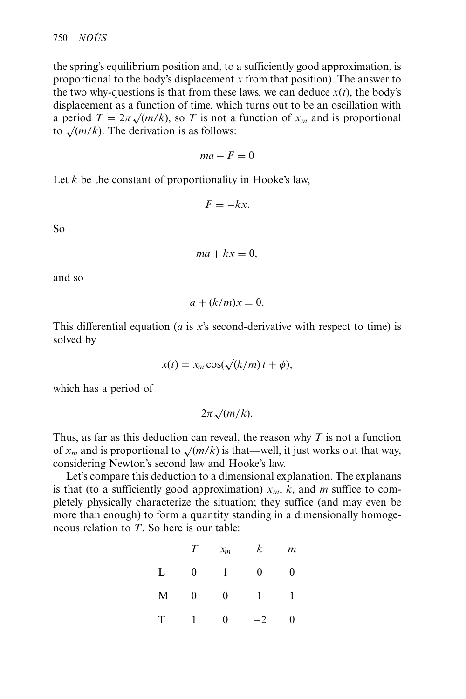the spring's equilibrium position and, to a sufficiently good approximation, is proportional to the body's displacement *x* from that position). The answer to the two why-questions is that from these laws, we can deduce  $x(t)$ , the body's displacement as a function of time, which turns out to be an oscillation with a period  $T = 2\pi \sqrt{(m/k)}$ , so *T* is not a function of  $x_m$  and is proportional to  $\sqrt{(m/k)}$ . The derivation is as follows:

$$
ma - F = 0
$$

Let *k* be the constant of proportionality in Hooke's law,

$$
F=-kx.
$$

So

 $ma + kx = 0$ ,

and so

$$
a + (k/m)x = 0.
$$

This differential equation (*a* is *x*'s second-derivative with respect to time) is solved by

$$
x(t) = x_m \cos(\sqrt{k/m}) t + \phi),
$$

which has a period of

2π √(*m*/*k*).

Thus, as far as this deduction can reveal, the reason why *T* is not a function of  $x_m$  and is proportional to  $\sqrt{m/k}$  is that—well, it just works out that way, considering Newton's second law and Hooke's law.

Let's compare this deduction to a dimensional explanation. The explanans is that (to a sufficiently good approximation)  $x_m$ ,  $k$ , and  $m$  suffice to completely physically characterize the situation; they suffice (and may even be more than enough) to form a quantity standing in a dimensionally homogeneous relation to *T*. So here is our table:

|   | $T_{-}$      | $x_m$          | $\mathcal{K}^-$ | $\boldsymbol{m}$ |
|---|--------------|----------------|-----------------|------------------|
| L | $\bf{0}$     | $\mathbf{1}$   | $\bf{0}$        | $\boldsymbol{0}$ |
| M | $\mathbf{0}$ | $\overline{0}$ | $\mathbf{1}$    | $\mathbf{1}$     |
| T | 1            | $\theta$       | $-2$            | $\mathbf{0}$     |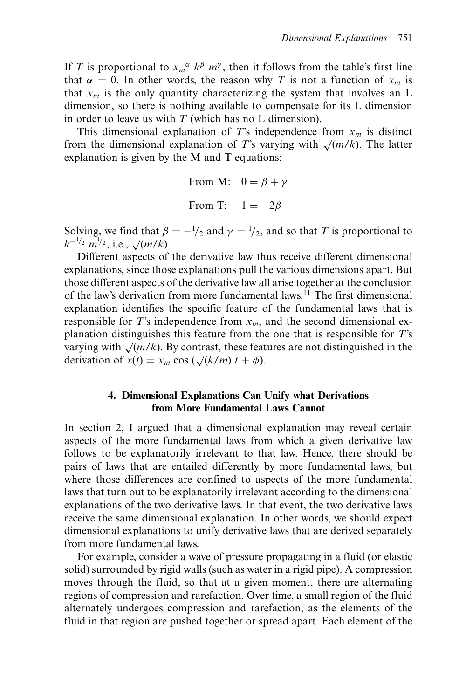If *T* is proportional to  $x_m^{\alpha} k^{\beta} m^{\gamma}$ , then it follows from the table's first line that  $\alpha = 0$ . In other words, the reason why *T* is not a function of  $x_m$  is that  $x_m$  is the only quantity characterizing the system that involves an L dimension, so there is nothing available to compensate for its L dimension in order to leave us with *T* (which has no L dimension).

This dimensional explanation of *T*'s independence from  $x_m$  is distinct from the dimensional explanation of *T*'s varying with  $\sqrt{(m/k)}$ . The latter explanation is given by the M and T equations:

> From M:  $0 = \beta + \gamma$ From T:  $1 = -2\beta$

Solving, we find that  $\beta = -\frac{1}{2}$  and  $\gamma = \frac{1}{2}$ , and so that *T* is proportional to  $k^{-1/2}$  *m*<sup>1</sup>/<sub>2</sub>, i.e.,  $\sqrt{(m/k)}$ .

Different aspects of the derivative law thus receive different dimensional explanations, since those explanations pull the various dimensions apart. But those different aspects of the derivative law all arise together at the conclusion of the law's derivation from more fundamental laws.<sup>11</sup> The first dimensional explanation identifies the specific feature of the fundamental laws that is responsible for  $T$ 's independence from  $x_m$ , and the second dimensional explanation distinguishes this feature from the one that is responsible for *T*'s varying with  $\sqrt{(m/k)}$ . By contrast, these features are not distinguished in the derivation of  $x(t) = x_m \cos (\sqrt{k/m}) t + \phi$ ).

# **4. Dimensional Explanations Can Unify what Derivations from More Fundamental Laws Cannot**

In section 2, I argued that a dimensional explanation may reveal certain aspects of the more fundamental laws from which a given derivative law follows to be explanatorily irrelevant to that law. Hence, there should be pairs of laws that are entailed differently by more fundamental laws, but where those differences are confined to aspects of the more fundamental laws that turn out to be explanatorily irrelevant according to the dimensional explanations of the two derivative laws. In that event, the two derivative laws receive the same dimensional explanation. In other words, we should expect dimensional explanations to unify derivative laws that are derived separately from more fundamental laws.

For example, consider a wave of pressure propagating in a fluid (or elastic solid) surrounded by rigid walls (such as water in a rigid pipe). A compression moves through the fluid, so that at a given moment, there are alternating regions of compression and rarefaction. Over time, a small region of the fluid alternately undergoes compression and rarefaction, as the elements of the fluid in that region are pushed together or spread apart. Each element of the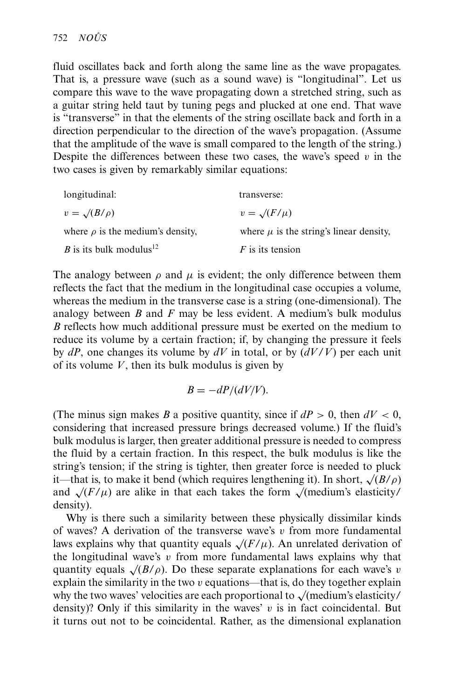fluid oscillates back and forth along the same line as the wave propagates. That is, a pressure wave (such as a sound wave) is "longitudinal". Let us compare this wave to the wave propagating down a stretched string, such as a guitar string held taut by tuning pegs and plucked at one end. That wave is "transverse" in that the elements of the string oscillate back and forth in a direction perpendicular to the direction of the wave's propagation. (Assume that the amplitude of the wave is small compared to the length of the string.) Despite the differences between these two cases, the wave's speed  $v$  in the two cases is given by remarkably similar equations:

| longitudinal:                              | transverse:                                 |
|--------------------------------------------|---------------------------------------------|
| $v = \sqrt{B/\rho}$                        | $v = \sqrt{F/\mu}$                          |
| where $\rho$ is the medium's density,      | where $\mu$ is the string's linear density, |
| <i>B</i> is its bulk modulus <sup>12</sup> | $F$ is its tension                          |

The analogy between  $\rho$  and  $\mu$  is evident; the only difference between them reflects the fact that the medium in the longitudinal case occupies a volume, whereas the medium in the transverse case is a string (one-dimensional). The analogy between *B* and *F* may be less evident. A medium's bulk modulus *B* reflects how much additional pressure must be exerted on the medium to reduce its volume by a certain fraction; if, by changing the pressure it feels by  $dP$ , one changes its volume by  $dV$  in total, or by  $(dV/V)$  per each unit of its volume *V*, then its bulk modulus is given by

 $B = -dP/(dV/V)$ .

(The minus sign makes *B* a positive quantity, since if  $dP > 0$ , then  $dV < 0$ , considering that increased pressure brings decreased volume.) If the fluid's bulk modulus is larger, then greater additional pressure is needed to compress the fluid by a certain fraction. In this respect, the bulk modulus is like the string's tension; if the string is tighter, then greater force is needed to pluck it—that is, to make it bend (which requires lengthening it). In short,  $\sqrt{(B/\rho)}$ and  $\sqrt{F/\mu}$  are alike in that each takes the form  $\sqrt{$ (medium's elasticity/ density).

Why is there such a similarity between these physically dissimilar kinds of waves? A derivation of the transverse wave's  $v$  from more fundamental laws explains why that quantity equals  $\sqrt{(F/\mu)}$ . An unrelated derivation of the longitudinal wave's  $v$  from more fundamental laws explains why that quantity equals  $\sqrt{(B/\rho)}$ . Do these separate explanations for each wave's v explain the similarity in the two  $v$  equations—that is, do they together explain why the two waves' velocities are each proportional to  $\sqrt{\frac{1}{2}}$  (medium's elasticity/ density)? Only if this similarity in the waves'  $v$  is in fact coincidental. But it turns out not to be coincidental. Rather, as the dimensional explanation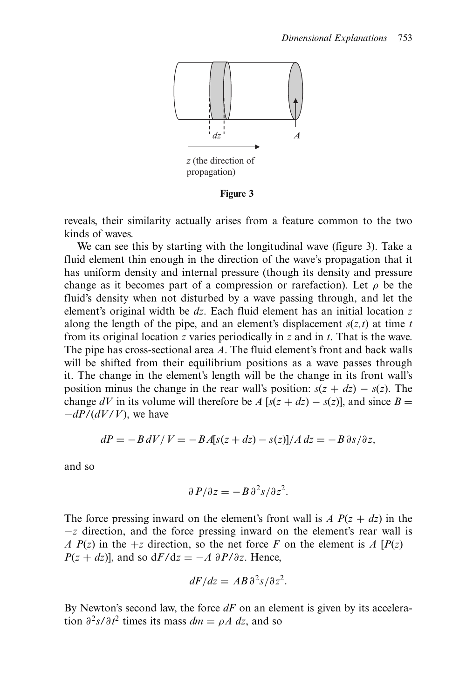

**Figure 3**

reveals, their similarity actually arises from a feature common to the two kinds of waves.

We can see this by starting with the longitudinal wave (figure 3). Take a fluid element thin enough in the direction of the wave's propagation that it has uniform density and internal pressure (though its density and pressure change as it becomes part of a compression or rarefaction). Let  $\rho$  be the fluid's density when not disturbed by a wave passing through, and let the element's original width be *dz*. Each fluid element has an initial location *z* along the length of the pipe, and an element's displacement  $s(z,t)$  at time  $t$ from its original location *z* varies periodically in *z* and in *t*. That is the wave. The pipe has cross-sectional area *A*. The fluid element's front and back walls will be shifted from their equilibrium positions as a wave passes through it. The change in the element's length will be the change in its front wall's position minus the change in the rear wall's position:  $s(z + dz) - s(z)$ . The change *dV* in its volume will therefore be *A* [ $s(z + dz) - s(z)$ ], and since *B* = −*dP*/(*dV*/*V*), we have

$$
dP = -B dV / V = -B A[s(z + dz) - s(z)] / A dz = -B \partial s / \partial z,
$$

and so

$$
\frac{\partial P}{\partial z} = -B \frac{\partial^2 s}{\partial z^2}.
$$

The force pressing inward on the element's front wall is  $\overline{A} P(z + dz)$  in the −*z* direction, and the force pressing inward on the element's rear wall is *A P*(*z*) in the +*z* direction, so the net force *F* on the element is *A* [*P*(*z*) –  $P(z + dz)$ , and so  $dF/dz = -A \frac{\partial P}{\partial z}$ . Hence,

$$
dF/dz = AB \,\partial^2 s/\partial z^2.
$$

By Newton's second law, the force *dF* on an element is given by its acceleration  $\partial^2 s / \partial t^2$  times its mass  $dm = \rho A \, dz$ , and so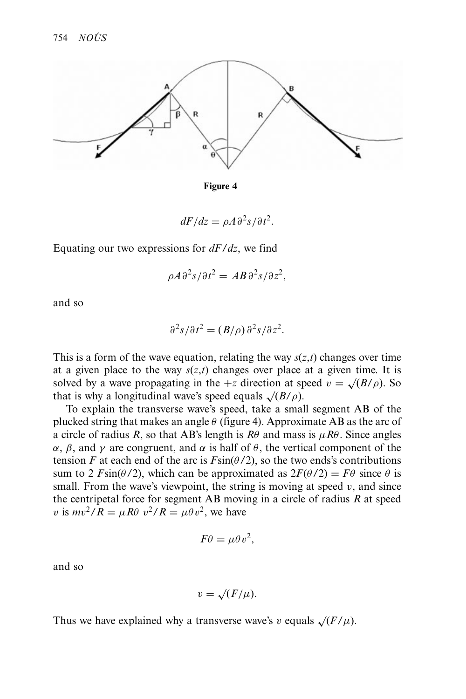

**Figure 4**

$$
dF/dz = \rho A \partial^2 s / \partial t^2.
$$

Equating our two expressions for *dF*/*dz*, we find

$$
\rho A \partial^2 s / \partial t^2 = AB \partial^2 s / \partial z^2,
$$

and so

$$
\partial^2 s / \partial t^2 = (B/\rho) \partial^2 s / \partial z^2.
$$

This is a form of the wave equation, relating the way  $s(z,t)$  changes over time at a given place to the way  $s(z,t)$  changes over place at a given time. It is solved by a wave propagating in the +*z* direction at speed  $v = \sqrt{(B/\rho)}$ . So that is why a longitudinal wave's speed equals  $\sqrt{(B/\rho)}$ .

To explain the transverse wave's speed, take a small segment AB of the plucked string that makes an angle  $\theta$  (figure 4). Approximate AB as the arc of a circle of radius *R*, so that AB's length is  $R\theta$  and mass is  $\mu R\theta$ . Since angles  $\alpha$ ,  $\beta$ , and  $\gamma$  are congruent, and  $\alpha$  is half of  $\theta$ , the vertical component of the tension *F* at each end of the arc is  $F\sin(\theta/2)$ , so the two ends's contributions sum to 2  $F\sin(\theta/2)$ , which can be approximated as  $2F(\theta/2) = F\theta$  since  $\theta$  is small. From the wave's viewpoint, the string is moving at speed  $v$ , and since the centripetal force for segment AB moving in a circle of radius *R* at speed v is  $mv^2/R = \mu R\theta v^2/R = \mu \theta v^2$ , we have

$$
F\theta = \mu\theta v^2,
$$

and so

$$
v=\sqrt{(F/\mu)}.
$$

Thus we have explained why a transverse wave's v equals  $\sqrt{(F/\mu)}$ .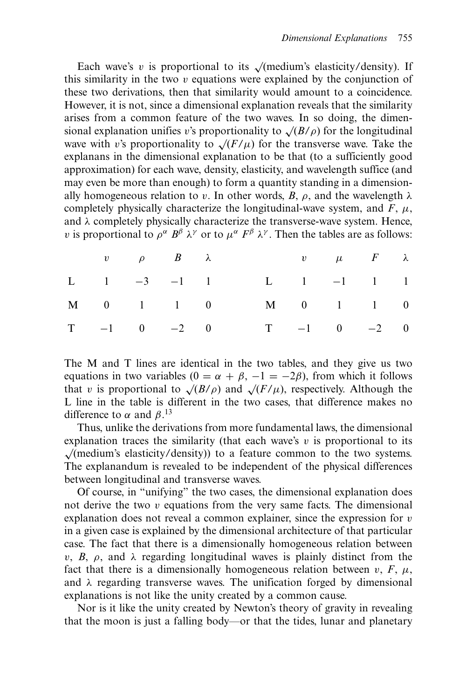Each wave's v is proportional to its  $\sqrt{\frac{m}{m}}$  elasticity/density). If this similarity in the two  $v$  equations were explained by the conjunction of these two derivations, then that similarity would amount to a coincidence. However, it is not, since a dimensional explanation reveals that the similarity arises from a common feature of the two waves. In so doing, the dimensional explanation unifies v's proportionality to  $\sqrt{(B/\rho)}$  for the longitudinal wave with v's proportionality to  $\sqrt{(F/\mu)}$  for the transverse wave. Take the explanans in the dimensional explanation to be that (to a sufficiently good approximation) for each wave, density, elasticity, and wavelength suffice (and may even be more than enough) to form a quantity standing in a dimensionally homogeneous relation to v. In other words,  $B$ ,  $\rho$ , and the wavelength  $\lambda$ completely physically characterize the longitudinal-wave system, and  $F$ ,  $\mu$ , and  $\lambda$  completely physically characterize the transverse-wave system. Hence, *v* is proportional to  $\rho^{\alpha}$   $B^{\beta}$   $\lambda^{\gamma}$  or to  $\mu^{\alpha}$   $F^{\beta}$   $\lambda^{\gamma}$ . Then the tables are as follows:

|                                                                                                                                                                                 | $v$ $\rho$ $B$ $\lambda$ |  |  | $v$ $\mu$ $F$ $\lambda$ |  |
|---------------------------------------------------------------------------------------------------------------------------------------------------------------------------------|--------------------------|--|--|-------------------------|--|
|                                                                                                                                                                                 |                          |  |  |                         |  |
| $\begin{array}{cccccccccccccccccc} \mathbf{M} & \mathbf{0} & \mathbf{1} & \mathbf{1} & \mathbf{0} & \mathbf{M} & \mathbf{0} & \mathbf{1} & \mathbf{1} & \mathbf{0} \end{array}$ |                          |  |  |                         |  |
| $\begin{array}{cccccccccccccc} T & & -1 & & 0 & & -2 & & 0 & & & T & & -1 & & 0 & & -2 & & 0 \end{array}$                                                                       |                          |  |  |                         |  |

The M and T lines are identical in the two tables, and they give us two equations in two variables ( $0 = \alpha + \beta$ ,  $-1 = -2\beta$ ), from which it follows that v is proportional to  $\sqrt{(B/\rho)}$  and  $\sqrt{(F/\mu)}$ , respectively. Although the L line in the table is different in the two cases, that difference makes no difference to  $\alpha$  and  $\beta$ .<sup>13</sup>

Thus, unlike the derivations from more fundamental laws, the dimensional explanation traces the similarity (that each wave's  $v$  is proportional to its  $\sqrt{\frac{m}{m}}$  (medium's elasticity/density)) to a feature common to the two systems. The explanandum is revealed to be independent of the physical differences between longitudinal and transverse waves.

Of course, in "unifying" the two cases, the dimensional explanation does not derive the two  $v$  equations from the very same facts. The dimensional explanation does not reveal a common explainer, since the expression for  $v$ in a given case is explained by the dimensional architecture of that particular case. The fact that there is a dimensionally homogeneous relation between  $v, B, \rho$ , and  $\lambda$  regarding longitudinal waves is plainly distinct from the fact that there is a dimensionally homogeneous relation between  $v, F, \mu$ , and  $\lambda$  regarding transverse waves. The unification forged by dimensional explanations is not like the unity created by a common cause.

Nor is it like the unity created by Newton's theory of gravity in revealing that the moon is just a falling body—or that the tides, lunar and planetary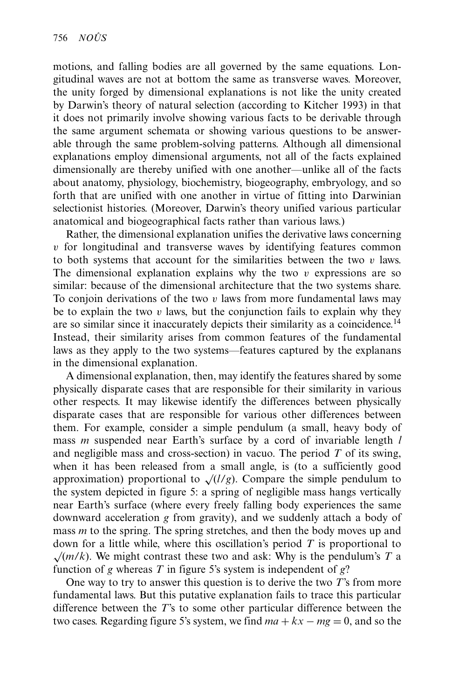motions, and falling bodies are all governed by the same equations. Longitudinal waves are not at bottom the same as transverse waves. Moreover, the unity forged by dimensional explanations is not like the unity created by Darwin's theory of natural selection (according to Kitcher 1993) in that it does not primarily involve showing various facts to be derivable through the same argument schemata or showing various questions to be answerable through the same problem-solving patterns. Although all dimensional explanations employ dimensional arguments, not all of the facts explained dimensionally are thereby unified with one another—unlike all of the facts about anatomy, physiology, biochemistry, biogeography, embryology, and so forth that are unified with one another in virtue of fitting into Darwinian selectionist histories. (Moreover, Darwin's theory unified various particular anatomical and biogeographical facts rather than various laws.)

Rather, the dimensional explanation unifies the derivative laws concerning  $v$  for longitudinal and transverse waves by identifying features common to both systems that account for the similarities between the two  $v$  laws. The dimensional explanation explains why the two  $v$  expressions are so similar: because of the dimensional architecture that the two systems share. To conjoin derivations of the two  $v$  laws from more fundamental laws may be to explain the two  $v$  laws, but the conjunction fails to explain why they are so similar since it inaccurately depicts their similarity as a coincidence.<sup>14</sup> Instead, their similarity arises from common features of the fundamental laws as they apply to the two systems—features captured by the explanans in the dimensional explanation.

A dimensional explanation, then, may identify the features shared by some physically disparate cases that are responsible for their similarity in various other respects. It may likewise identify the differences between physically disparate cases that are responsible for various other differences between them. For example, consider a simple pendulum (a small, heavy body of mass *m* suspended near Earth's surface by a cord of invariable length *l* and negligible mass and cross-section) in vacuo. The period *T* of its swing, when it has been released from a small angle, is (to a sufficiently good approximation) proportional to  $\sqrt{I/g}$ . Compare the simple pendulum to the system depicted in figure 5: a spring of negligible mass hangs vertically near Earth's surface (where every freely falling body experiences the same downward acceleration *g* from gravity), and we suddenly attach a body of mass *m* to the spring. The spring stretches, and then the body moves up and down for a little while, where this oscillation's period *T* is proportional to  $\sqrt{(m/k)}$ . We might contrast these two and ask: Why is the pendulum's *T* a function of *g* whereas *T* in figure 5's system is independent of *g*?

One way to try to answer this question is to derive the two *T*'s from more fundamental laws. But this putative explanation fails to trace this particular difference between the *T*'s to some other particular difference between the two cases. Regarding figure 5's system, we find  $ma + kx - mg = 0$ , and so the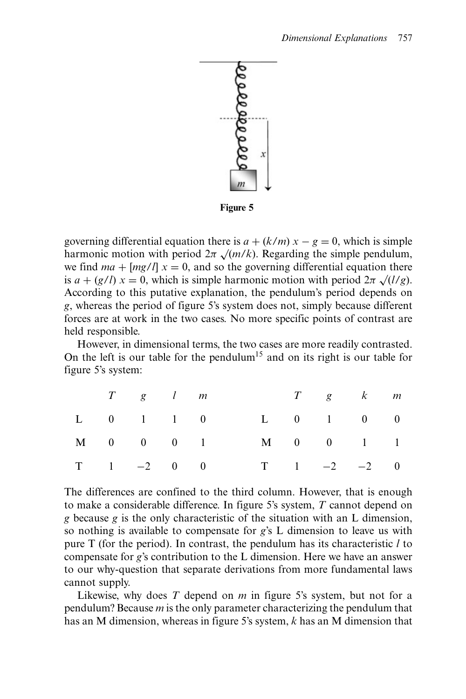

**Figure 5**

governing differential equation there is  $a + (k/m)x - g = 0$ , which is simple harmonic motion with period  $2\pi \sqrt{(m/k)}$ . Regarding the simple pendulum, we find  $ma + [mg/l] x = 0$ , and so the governing differential equation there is  $a + (g/l)x = 0$ , which is simple harmonic motion with period  $2\pi \sqrt{l/g}$ . According to this putative explanation, the pendulum's period depends on *g*, whereas the period of figure 5's system does not, simply because different forces are at work in the two cases. No more specific points of contrast are held responsible.

However, in dimensional terms, the two cases are more readily contrasted. On the left is our table for the pendulum<sup>15</sup> and on its right is our table for figure 5's system:

|  | $T \qquad g \qquad l \qquad m$                                                                             |  |  |  | $T \qquad g \qquad k \qquad m$          |  |
|--|------------------------------------------------------------------------------------------------------------|--|--|--|-----------------------------------------|--|
|  | $\begin{matrix} \phantom{-}L \phantom{0} & 0 \phantom{0} & 1 \phantom{0} & 1 \phantom{0} & 0 \end{matrix}$ |  |  |  | $L \qquad 0 \qquad 1 \qquad 0 \qquad 0$ |  |
|  |                                                                                                            |  |  |  | M 0 0 0 1 M 0 0 1 1                     |  |
|  | $T \t1 \t-2 \t0 \t0$                                                                                       |  |  |  | $T \t1 \t-2 \t-2 \t0$                   |  |

The differences are confined to the third column. However, that is enough to make a considerable difference. In figure 5's system, *T* cannot depend on *g* because *g* is the only characteristic of the situation with an L dimension, so nothing is available to compensate for *g*'s L dimension to leave us with pure T (for the period). In contrast, the pendulum has its characteristic *l* to compensate for *g*'s contribution to the L dimension. Here we have an answer to our why-question that separate derivations from more fundamental laws cannot supply.

Likewise, why does *T* depend on *m* in figure 5's system, but not for a pendulum? Because *m* is the only parameter characterizing the pendulum that has an M dimension, whereas in figure 5's system, *k* has an M dimension that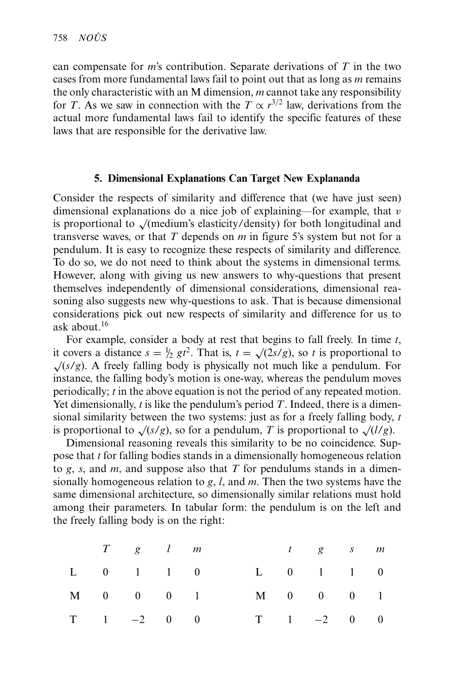can compensate for *m*'s contribution. Separate derivations of *T* in the two cases from more fundamental laws fail to point out that as long as *m* remains the only characteristic with an M dimension, *m* cannot take any responsibility for *T*. As we saw in connection with the  $T \propto r^{3/2}$  law, derivations from the actual more fundamental laws fail to identify the specific features of these laws that are responsible for the derivative law.

## **5. Dimensional Explanations Can Target New Explananda**

Consider the respects of similarity and difference that (we have just seen) dimensional explanations do a nice job of explaining—for example, that  $v$ is proportional to  $\sqrt{\frac{m}{m}}$  elasticity/density) for both longitudinal and transverse waves, or that *T* depends on *m* in figure 5's system but not for a pendulum. It is easy to recognize these respects of similarity and difference. To do so, we do not need to think about the systems in dimensional terms. However, along with giving us new answers to why-questions that present themselves independently of dimensional considerations, dimensional reasoning also suggests new why-questions to ask. That is because dimensional considerations pick out new respects of similarity and difference for us to ask about.<sup>16</sup>

For example, consider a body at rest that begins to fall freely. In time *t*, it covers a distance  $s = \frac{1}{2}gt^2$ . That is,  $t = \sqrt{2s/g}$ , so *t* is proportional to √(*s*/*g*). A freely falling body is physically not much like a pendulum. For instance, the falling body's motion is one-way, whereas the pendulum moves periodically; *t* in the above equation is not the period of any repeated motion. Yet dimensionally, *t* is like the pendulum's period *T*. Indeed, there is a dimensional similarity between the two systems: just as for a freely falling body, *t* is proportional to  $\sqrt{s/g}$ , so for a pendulum, *T* is proportional to  $\sqrt{l/g}$ .

Dimensional reasoning reveals this similarity to be no coincidence. Suppose that *t* for falling bodies stands in a dimensionally homogeneous relation to *g*, *s*, and *m*, and suppose also that *T* for pendulums stands in a dimensionally homogeneous relation to *g*, *l*, and *m*. Then the two systems have the same dimensional architecture, so dimensionally similar relations must hold among their parameters. In tabular form: the pendulum is on the left and the freely falling body is on the right:

|  | $T$ g l m                                                                  |  |  | $t$ $g$ $s$ $m$                         |  |
|--|----------------------------------------------------------------------------|--|--|-----------------------------------------|--|
|  | $\begin{array}{cccccccccc} \text{L} & & 0 & & 1 & & 1 & & 0 \end{array}$   |  |  | $L \qquad 0 \qquad 1 \qquad 1 \qquad 0$ |  |
|  | M 0 0 0 1                                                                  |  |  | M 0 0 0 1                               |  |
|  | $\begin{array}{ccccccccc}\n\text{T} & & 1 & & -2 & & 0 & & 0\n\end{array}$ |  |  | $T \t1 \t-2 \t0 \t0$                    |  |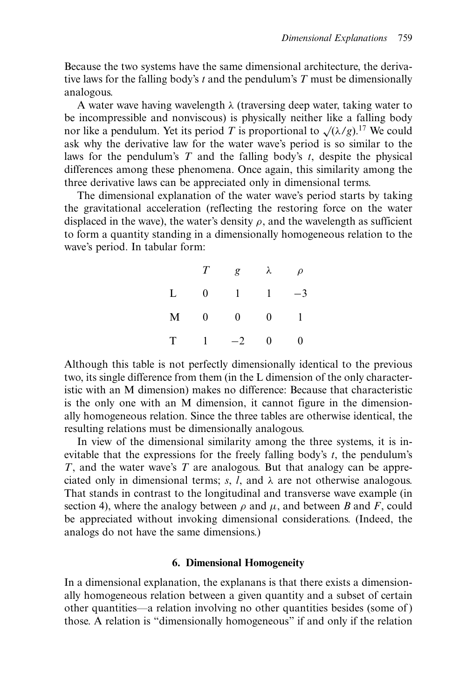Because the two systems have the same dimensional architecture, the derivative laws for the falling body's *t* and the pendulum's *T* must be dimensionally analogous.

A water wave having wavelength  $\lambda$  (traversing deep water, taking water to be incompressible and nonviscous) is physically neither like a falling body nor like a pendulum. Yet its period *T* is proportional to  $\sqrt{(\lambda/g)}$ .<sup>17</sup> We could ask why the derivative law for the water wave's period is so similar to the laws for the pendulum's *T* and the falling body's *t*, despite the physical differences among these phenomena. Once again, this similarity among the three derivative laws can be appreciated only in dimensional terms.

The dimensional explanation of the water wave's period starts by taking the gravitational acceleration (reflecting the restoring force on the water displaced in the wave), the water's density  $\rho$ , and the wavelength as sufficient to form a quantity standing in a dimensionally homogeneous relation to the wave's period. In tabular form:

|  | $T$ $g$ $\lambda$ $\rho$ |  |
|--|--------------------------|--|
|  | $L \t 0 \t 1 \t -3$      |  |
|  | M 0 0 0 1                |  |
|  | $T \t1 \t-2 \t0 \t0$     |  |

Although this table is not perfectly dimensionally identical to the previous two, its single difference from them (in the L dimension of the only characteristic with an M dimension) makes no difference: Because that characteristic is the only one with an M dimension, it cannot figure in the dimensionally homogeneous relation. Since the three tables are otherwise identical, the resulting relations must be dimensionally analogous.

In view of the dimensional similarity among the three systems, it is inevitable that the expressions for the freely falling body's *t*, the pendulum's *T*, and the water wave's *T* are analogous. But that analogy can be appreciated only in dimensional terms;  $s$ ,  $l$ , and  $\lambda$  are not otherwise analogous. That stands in contrast to the longitudinal and transverse wave example (in section 4), where the analogy between  $\rho$  and  $\mu$ , and between *B* and *F*, could be appreciated without invoking dimensional considerations. (Indeed, the analogs do not have the same dimensions.)

## **6. Dimensional Homogeneity**

In a dimensional explanation, the explanans is that there exists a dimensionally homogeneous relation between a given quantity and a subset of certain other quantities—a relation involving no other quantities besides (some of ) those. A relation is "dimensionally homogeneous" if and only if the relation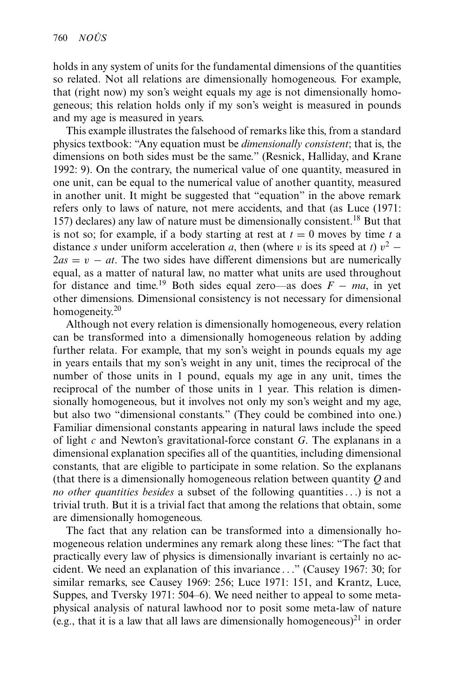holds in any system of units for the fundamental dimensions of the quantities so related. Not all relations are dimensionally homogeneous. For example, that (right now) my son's weight equals my age is not dimensionally homogeneous; this relation holds only if my son's weight is measured in pounds and my age is measured in years.

This example illustrates the falsehood of remarks like this, from a standard physics textbook: "Any equation must be *dimensionally consistent*; that is, the dimensions on both sides must be the same." (Resnick, Halliday, and Krane 1992: 9). On the contrary, the numerical value of one quantity, measured in one unit, can be equal to the numerical value of another quantity, measured in another unit. It might be suggested that "equation" in the above remark refers only to laws of nature, not mere accidents, and that (as Luce (1971: 157) declares) any law of nature must be dimensionally consistent.<sup>18</sup> But that is not so; for example, if a body starting at rest at  $t = 0$  moves by time  $t$  a distance *s* under uniform acceleration *a*, then (where *v* is its speed at *t*)  $v^2$  −  $2as = v - at$ . The two sides have different dimensions but are numerically equal, as a matter of natural law, no matter what units are used throughout for distance and time.<sup>19</sup> Both sides equal zero—as does  $F - ma$ , in yet other dimensions. Dimensional consistency is not necessary for dimensional homogeneity. $20$ 

Although not every relation is dimensionally homogeneous, every relation can be transformed into a dimensionally homogeneous relation by adding further relata. For example, that my son's weight in pounds equals my age in years entails that my son's weight in any unit, times the reciprocal of the number of those units in 1 pound, equals my age in any unit, times the reciprocal of the number of those units in 1 year. This relation is dimensionally homogeneous, but it involves not only my son's weight and my age, but also two "dimensional constants." (They could be combined into one.) Familiar dimensional constants appearing in natural laws include the speed of light *c* and Newton's gravitational-force constant *G*. The explanans in a dimensional explanation specifies all of the quantities, including dimensional constants, that are eligible to participate in some relation. So the explanans (that there is a dimensionally homogeneous relation between quantity *Q* and *no other quantities besides* a subset of the following quantities...) is not a trivial truth. But it is a trivial fact that among the relations that obtain, some are dimensionally homogeneous.

The fact that any relation can be transformed into a dimensionally homogeneous relation undermines any remark along these lines: "The fact that practically every law of physics is dimensionally invariant is certainly no accident. We need an explanation of this invariance ..." (Causey 1967: 30; for similar remarks, see Causey 1969: 256; Luce 1971: 151, and Krantz, Luce, Suppes, and Tversky 1971: 504–6). We need neither to appeal to some metaphysical analysis of natural lawhood nor to posit some meta-law of nature (e.g., that it is a law that all laws are dimensionally homogeneous)<sup>21</sup> in order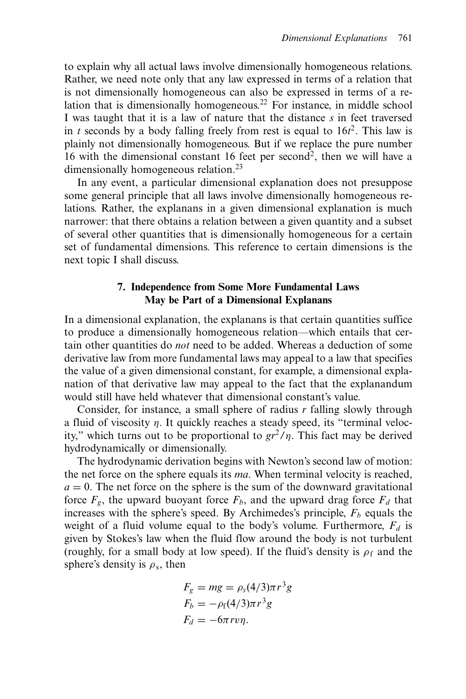to explain why all actual laws involve dimensionally homogeneous relations. Rather, we need note only that any law expressed in terms of a relation that is not dimensionally homogeneous can also be expressed in terms of a relation that is dimensionally homogeneous.22 For instance, in middle school I was taught that it is a law of nature that the distance *s* in feet traversed in *t* seconds by a body falling freely from rest is equal to  $16t^2$ . This law is plainly not dimensionally homogeneous. But if we replace the pure number 16 with the dimensional constant 16 feet per second<sup>2</sup>, then we will have a dimensionally homogeneous relation.<sup>23</sup>

In any event, a particular dimensional explanation does not presuppose some general principle that all laws involve dimensionally homogeneous relations. Rather, the explanans in a given dimensional explanation is much narrower: that there obtains a relation between a given quantity and a subset of several other quantities that is dimensionally homogeneous for a certain set of fundamental dimensions. This reference to certain dimensions is the next topic I shall discuss.

# **7. Independence from Some More Fundamental Laws May be Part of a Dimensional Explanans**

In a dimensional explanation, the explanans is that certain quantities suffice to produce a dimensionally homogeneous relation—which entails that certain other quantities do *not* need to be added. Whereas a deduction of some derivative law from more fundamental laws may appeal to a law that specifies the value of a given dimensional constant, for example, a dimensional explanation of that derivative law may appeal to the fact that the explanandum would still have held whatever that dimensional constant's value.

Consider, for instance, a small sphere of radius *r* falling slowly through a fluid of viscosity  $\eta$ . It quickly reaches a steady speed, its "terminal velocity," which turns out to be proportional to  $gr^2/\eta$ . This fact may be derived hydrodynamically or dimensionally.

The hydrodynamic derivation begins with Newton's second law of motion: the net force on the sphere equals its *ma*. When terminal velocity is reached,  $a = 0$ . The net force on the sphere is the sum of the downward gravitational force  $F_g$ , the upward buoyant force  $F_b$ , and the upward drag force  $F_d$  that increases with the sphere's speed. By Archimedes's principle,  $F_b$  equals the weight of a fluid volume equal to the body's volume. Furthermore,  $F_d$  is given by Stokes's law when the fluid flow around the body is not turbulent (roughly, for a small body at low speed). If the fluid's density is  $\rho_f$  and the sphere's density is  $\rho_s$ , then

$$
F_g = mg = \rho_s (4/3) \pi r^3 g
$$
  
\n
$$
F_b = -\rho_f (4/3) \pi r^3 g
$$
  
\n
$$
F_d = -6\pi r v \eta.
$$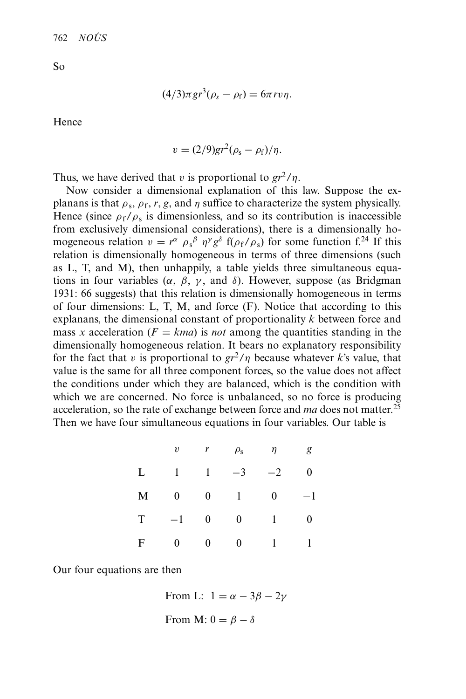So

$$
(4/3)\pi gr^3(\rho_s - \rho_f) = 6\pi r v \eta.
$$

**Hence** 

$$
v=(2/9)gr^2(\rho_s-\rho_f)/\eta.
$$

Thus, we have derived that v is proportional to  $gr^2/\eta$ .

Now consider a dimensional explanation of this law. Suppose the explanans is that  $\rho_s$ ,  $\rho_f$ , *r*, *g*, and  $\eta$  suffice to characterize the system physically. Hence (since  $\rho_f/\rho_s$  is dimensionless, and so its contribution is inaccessible from exclusively dimensional considerations), there is a dimensionally homogeneous relation  $v = r^{\alpha} \rho_s^{\beta} \eta^{\gamma} g^{\delta} f(\rho_f/\rho_s)$  for some function f.<sup>24</sup> If this relation is dimensionally homogeneous in terms of three dimensions (such as L, T, and M), then unhappily, a table yields three simultaneous equations in four variables ( $\alpha$ ,  $\beta$ ,  $\gamma$ , and  $\delta$ ). However, suppose (as Bridgman 1931: 66 suggests) that this relation is dimensionally homogeneous in terms of four dimensions: L, T, M, and force (F). Notice that according to this explanans, the dimensional constant of proportionality *k* between force and mass *x* acceleration  $(F = kma)$  is *not* among the quantities standing in the dimensionally homogeneous relation. It bears no explanatory responsibility for the fact that v is proportional to  $gr^2/\eta$  because whatever *k*'s value, that value is the same for all three component forces, so the value does not affect the conditions under which they are balanced, which is the condition with which we are concerned. No force is unbalanced, so no force is producing acceleration, so the rate of exchange between force and *ma* does not matter.25 Then we have four simultaneous equations in four variables. Our table is

|   |  | v $r \rho_s \eta g$                                                                                                               |  |
|---|--|-----------------------------------------------------------------------------------------------------------------------------------|--|
| L |  | $1 \t 1 \t -3 \t -2 \t 0$                                                                                                         |  |
|   |  | $M$ 0 0 1 0 -1                                                                                                                    |  |
|   |  | $\begin{array}{ccccccccccccc} T & & -1 & & 0 & & 0 & & 1 & & 0 \end{array}$                                                       |  |
|   |  | $\begin{array}{cccccccccccccc} \textbf{F} & & \textbf{0} & & \textbf{0} & & \textbf{0} & & \textbf{1} & & \textbf{1} \end{array}$ |  |

Our four equations are then

From L:  $1 = \alpha - 3\beta - 2\gamma$ From M:  $0 = \beta - \delta$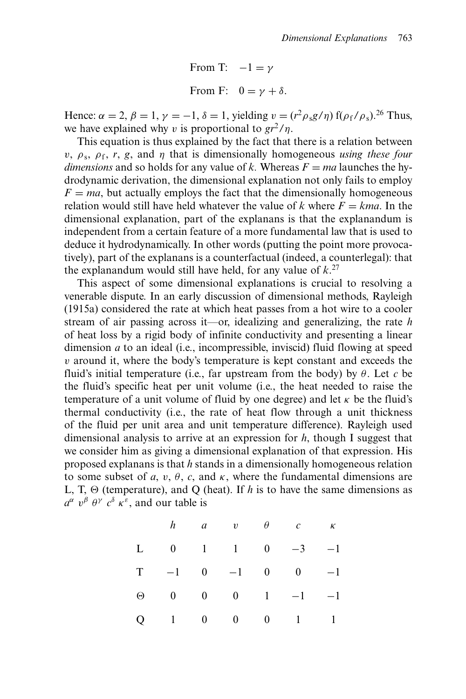From T:  $-1 = \gamma$ 

From F:  $0 = \gamma + \delta$ .

Hence:  $\alpha = 2$ ,  $\beta = 1$ ,  $\gamma = -1$ ,  $\delta = 1$ , yielding  $v = (r^2 \rho_s g/\eta) f(\rho_f/\rho_s)$ .<sup>26</sup> Thus, we have explained why v is proportional to  $gr^2/n$ .

This equation is thus explained by the fact that there is a relation between  $v, \rho_s, \rho_f, r, g,$  and  $\eta$  that is dimensionally homogeneous *using these four dimensions* and so holds for any value of *k*. Whereas  $F = ma$  launches the hydrodynamic derivation, the dimensional explanation not only fails to employ  $F = ma$ , but actually employs the fact that the dimensionally homogeneous relation would still have held whatever the value of  $k$  where  $F = kma$ . In the dimensional explanation, part of the explanans is that the explanandum is independent from a certain feature of a more fundamental law that is used to deduce it hydrodynamically. In other words (putting the point more provocatively), part of the explanans is a counterfactual (indeed, a counterlegal): that the explanandum would still have held, for any value of *k*. 27

This aspect of some dimensional explanations is crucial to resolving a venerable dispute. In an early discussion of dimensional methods, Rayleigh (1915a) considered the rate at which heat passes from a hot wire to a cooler stream of air passing across it—or, idealizing and generalizing, the rate *h* of heat loss by a rigid body of infinite conductivity and presenting a linear dimension *a* to an ideal (i.e., incompressible, inviscid) fluid flowing at speed v around it, where the body's temperature is kept constant and exceeds the fluid's initial temperature (i.e., far upstream from the body) by  $\theta$ . Let  $c$  be the fluid's specific heat per unit volume (i.e., the heat needed to raise the temperature of a unit volume of fluid by one degree) and let  $\kappa$  be the fluid's thermal conductivity (i.e., the rate of heat flow through a unit thickness of the fluid per unit area and unit temperature difference). Rayleigh used dimensional analysis to arrive at an expression for *h*, though I suggest that we consider him as giving a dimensional explanation of that expression. His proposed explanans is that *h* stands in a dimensionally homogeneous relation to some subset of *a*, *v*,  $\theta$ , *c*, and  $\kappa$ , where the fundamental dimensions are L, T,  $\Theta$  (temperature), and Q (heat). If *h* is to have the same dimensions as  $a^{\alpha}$   $v^{\beta}$   $\theta^{\gamma}$   $c^{\delta}$   $\kappa^{\varepsilon}$ , and our table is

|  | $h$ a v $\theta$ c $\kappa$ |  |  |
|--|-----------------------------|--|--|
|  | L 0 1 1 0 $-3$ $-1$         |  |  |
|  | $T = -1$ 0 $-1$ 0 0 $-1$    |  |  |
|  | $\Theta$ 0 0 0 1 -1 -1      |  |  |
|  | $Q$ 1 0 0 0 1 1             |  |  |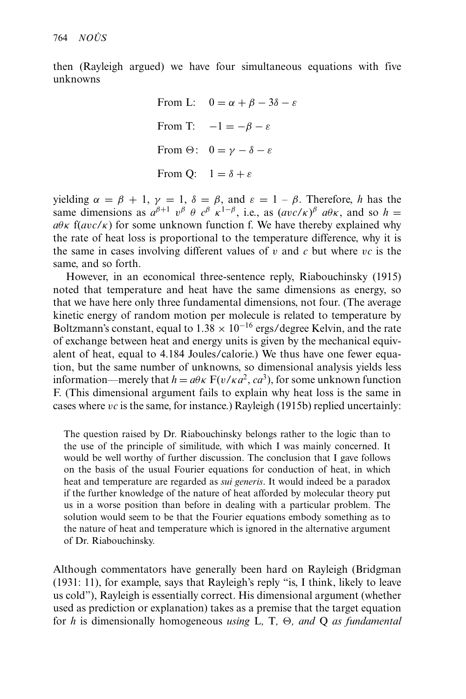then (Rayleigh argued) we have four simultaneous equations with five unknowns

From L: 
$$
0 = \alpha + \beta - 3\delta - \varepsilon
$$
  
\nFrom T:  $-1 = -\beta - \varepsilon$   
\nFrom  $\Theta$ :  $0 = \gamma - \delta - \varepsilon$   
\nFrom Q:  $1 = \delta + \varepsilon$ 

yielding  $\alpha = \beta + 1$ ,  $\gamma = 1$ ,  $\delta = \beta$ , and  $\varepsilon = 1 - \beta$ . Therefore, *h* has the same dimensions as  $a^{\beta+1}$   $v^{\beta}$   $\theta$   $c^{\beta}$   $\kappa^{1-\beta}$ , i.e., as  $(avc/\kappa)^{\beta}$   $a\theta\kappa$ , and so  $h =$  $a\theta$ κ f(*avc*/κ) for some unknown function f. We have thereby explained why the rate of heat loss is proportional to the temperature difference, why it is the same in cases involving different values of v and *c* but where v*c* is the same, and so forth.

However, in an economical three-sentence reply, Riabouchinsky (1915) noted that temperature and heat have the same dimensions as energy, so that we have here only three fundamental dimensions, not four. (The average kinetic energy of random motion per molecule is related to temperature by Boltzmann's constant, equal to  $1.38 \times 10^{-16}$  ergs/degree Kelvin, and the rate of exchange between heat and energy units is given by the mechanical equivalent of heat, equal to 4.184 Joules/calorie.) We thus have one fewer equation, but the same number of unknowns, so dimensional analysis yields less information—merely that  $h = a\theta \kappa F(v/\kappa a^2, ca^3)$ , for some unknown function F. (This dimensional argument fails to explain why heat loss is the same in cases where v*c* is the same, for instance.) Rayleigh (1915b) replied uncertainly:

The question raised by Dr. Riabouchinsky belongs rather to the logic than to the use of the principle of similitude, with which I was mainly concerned. It would be well worthy of further discussion. The conclusion that I gave follows on the basis of the usual Fourier equations for conduction of heat, in which heat and temperature are regarded as *sui generis*. It would indeed be a paradox if the further knowledge of the nature of heat afforded by molecular theory put us in a worse position than before in dealing with a particular problem. The solution would seem to be that the Fourier equations embody something as to the nature of heat and temperature which is ignored in the alternative argument of Dr. Riabouchinsky.

Although commentators have generally been hard on Rayleigh (Bridgman (1931: 11), for example, says that Rayleigh's reply "is, I think, likely to leave us cold"), Rayleigh is essentially correct. His dimensional argument (whether used as prediction or explanation) takes as a premise that the target equation for *h* is dimensionally homogeneous *using* L*,* T*, , and* Q *as fundamental*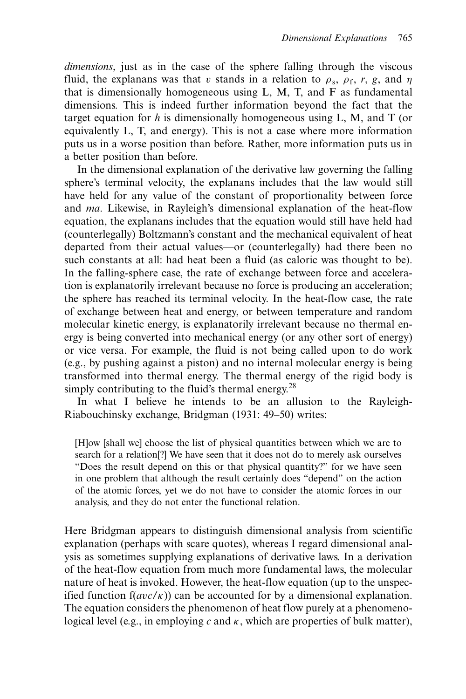*dimensions*, just as in the case of the sphere falling through the viscous fluid, the explanans was that v stands in a relation to  $\rho_s$ ,  $\rho_f$ , r, g, and  $\eta$ that is dimensionally homogeneous using L, M, T, and F as fundamental dimensions. This is indeed further information beyond the fact that the target equation for *h* is dimensionally homogeneous using L, M, and T (or equivalently L, T, and energy). This is not a case where more information puts us in a worse position than before. Rather, more information puts us in a better position than before.

In the dimensional explanation of the derivative law governing the falling sphere's terminal velocity, the explanans includes that the law would still have held for any value of the constant of proportionality between force and *ma*. Likewise, in Rayleigh's dimensional explanation of the heat-flow equation, the explanans includes that the equation would still have held had (counterlegally) Boltzmann's constant and the mechanical equivalent of heat departed from their actual values—or (counterlegally) had there been no such constants at all: had heat been a fluid (as caloric was thought to be). In the falling-sphere case, the rate of exchange between force and acceleration is explanatorily irrelevant because no force is producing an acceleration; the sphere has reached its terminal velocity. In the heat-flow case, the rate of exchange between heat and energy, or between temperature and random molecular kinetic energy, is explanatorily irrelevant because no thermal energy is being converted into mechanical energy (or any other sort of energy) or vice versa. For example, the fluid is not being called upon to do work (e.g., by pushing against a piston) and no internal molecular energy is being transformed into thermal energy. The thermal energy of the rigid body is simply contributing to the fluid's thermal energy.<sup>28</sup>

In what I believe he intends to be an allusion to the Rayleigh-Riabouchinsky exchange, Bridgman (1931: 49–50) writes:

[H]ow [shall we] choose the list of physical quantities between which we are to search for a relation[?] We have seen that it does not do to merely ask ourselves "Does the result depend on this or that physical quantity?" for we have seen in one problem that although the result certainly does "depend" on the action of the atomic forces, yet we do not have to consider the atomic forces in our analysis, and they do not enter the functional relation.

Here Bridgman appears to distinguish dimensional analysis from scientific explanation (perhaps with scare quotes), whereas I regard dimensional analysis as sometimes supplying explanations of derivative laws. In a derivation of the heat-flow equation from much more fundamental laws, the molecular nature of heat is invoked. However, the heat-flow equation (up to the unspecified function  $f(avc/k)$ ) can be accounted for by a dimensional explanation. The equation considers the phenomenon of heat flow purely at a phenomenological level (e.g., in employing *c* and κ, which are properties of bulk matter),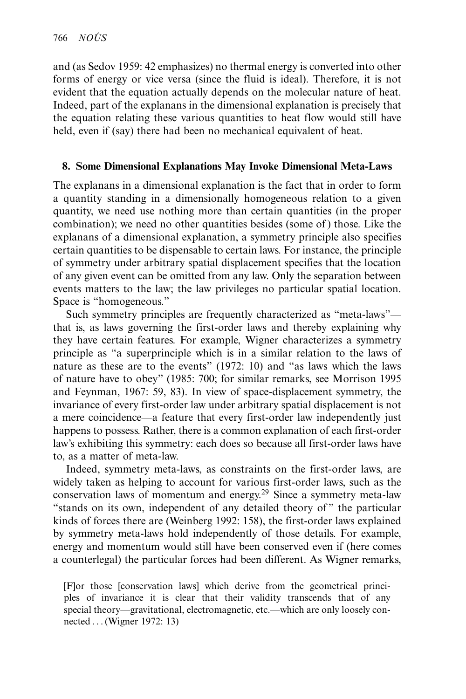and (as Sedov 1959: 42 emphasizes) no thermal energy is converted into other forms of energy or vice versa (since the fluid is ideal). Therefore, it is not evident that the equation actually depends on the molecular nature of heat. Indeed, part of the explanans in the dimensional explanation is precisely that the equation relating these various quantities to heat flow would still have held, even if (say) there had been no mechanical equivalent of heat.

## **8. Some Dimensional Explanations May Invoke Dimensional Meta-Laws**

The explanans in a dimensional explanation is the fact that in order to form a quantity standing in a dimensionally homogeneous relation to a given quantity, we need use nothing more than certain quantities (in the proper combination); we need no other quantities besides (some of ) those. Like the explanans of a dimensional explanation, a symmetry principle also specifies certain quantities to be dispensable to certain laws. For instance, the principle of symmetry under arbitrary spatial displacement specifies that the location of any given event can be omitted from any law. Only the separation between events matters to the law; the law privileges no particular spatial location. Space is "homogeneous."

Such symmetry principles are frequently characterized as "meta-laws" that is, as laws governing the first-order laws and thereby explaining why they have certain features. For example, Wigner characterizes a symmetry principle as "a superprinciple which is in a similar relation to the laws of nature as these are to the events" (1972: 10) and "as laws which the laws of nature have to obey" (1985: 700; for similar remarks, see Morrison 1995 and Feynman, 1967: 59, 83). In view of space-displacement symmetry, the invariance of every first-order law under arbitrary spatial displacement is not a mere coincidence—a feature that every first-order law independently just happens to possess. Rather, there is a common explanation of each first-order law's exhibiting this symmetry: each does so because all first-order laws have to, as a matter of meta-law.

Indeed, symmetry meta-laws, as constraints on the first-order laws, are widely taken as helping to account for various first-order laws, such as the conservation laws of momentum and energy.<sup>29</sup> Since a symmetry meta-law "stands on its own, independent of any detailed theory of " the particular kinds of forces there are (Weinberg 1992: 158), the first-order laws explained by symmetry meta-laws hold independently of those details. For example, energy and momentum would still have been conserved even if (here comes a counterlegal) the particular forces had been different. As Wigner remarks,

[F]or those [conservation laws] which derive from the geometrical principles of invariance it is clear that their validity transcends that of any special theory—gravitational, electromagnetic, etc.—which are only loosely connected ... (Wigner 1972: 13)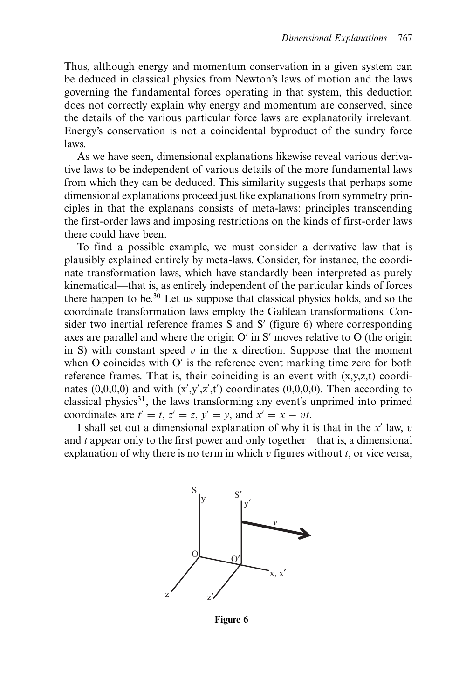Thus, although energy and momentum conservation in a given system can be deduced in classical physics from Newton's laws of motion and the laws governing the fundamental forces operating in that system, this deduction does not correctly explain why energy and momentum are conserved, since the details of the various particular force laws are explanatorily irrelevant. Energy's conservation is not a coincidental byproduct of the sundry force laws.

As we have seen, dimensional explanations likewise reveal various derivative laws to be independent of various details of the more fundamental laws from which they can be deduced. This similarity suggests that perhaps some dimensional explanations proceed just like explanations from symmetry principles in that the explanans consists of meta-laws: principles transcending the first-order laws and imposing restrictions on the kinds of first-order laws there could have been.

To find a possible example, we must consider a derivative law that is plausibly explained entirely by meta-laws. Consider, for instance, the coordinate transformation laws, which have standardly been interpreted as purely kinematical—that is, as entirely independent of the particular kinds of forces there happen to be.<sup>30</sup> Let us suppose that classical physics holds, and so the coordinate transformation laws employ the Galilean transformations. Consider two inertial reference frames  $S$  and  $S'$  (figure 6) where corresponding axes are parallel and where the origin  $O'$  in S' moves relative to O (the origin in S) with constant speed  $v$  in the x direction. Suppose that the moment when  $O$  coincides with  $O'$  is the reference event marking time zero for both reference frames. That is, their coinciding is an event with  $(x,y,z,t)$  coordinates  $(0,0,0,0)$  and with  $(x',y',z',t')$  coordinates  $(0,0,0,0)$ . Then according to classical physics $31$ , the laws transforming any event's unprimed into primed coordinates are  $t' = t$ ,  $z' = z$ ,  $y' = y$ , and  $x' = x - vt$ .

I shall set out a dimensional explanation of why it is that in the  $x'$  law,  $v$ and *t* appear only to the first power and only together—that is, a dimensional explanation of why there is no term in which v figures without *t*, or vice versa,



**Figure 6**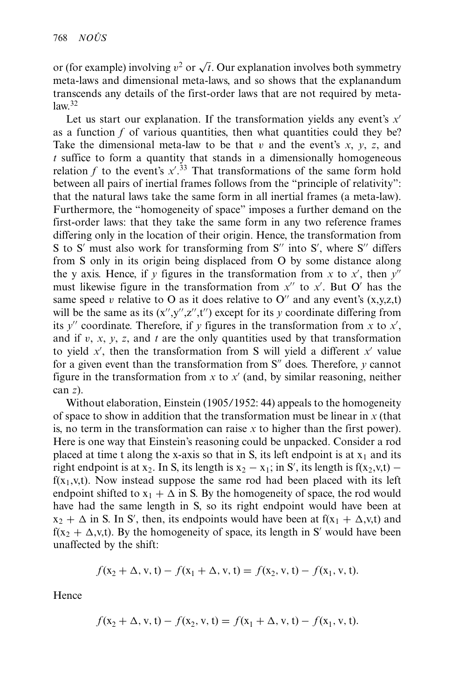or (for example) involving  $v^2$  or  $\sqrt{t}$ . Our explanation involves both symmetry meta-laws and dimensional meta-laws, and so shows that the explanandum transcends any details of the first-order laws that are not required by meta $law.<sup>32</sup>$ 

Let us start our explanation. If the transformation yields any event's *x* as a function *f* of various quantities, then what quantities could they be? Take the dimensional meta-law to be that v and the event's  $x$ ,  $y$ ,  $z$ , and *t* suffice to form a quantity that stands in a dimensionally homogeneous relation  $f$  to the event's  $x'$ .<sup>33</sup> That transformations of the same form hold between all pairs of inertial frames follows from the "principle of relativity": that the natural laws take the same form in all inertial frames (a meta-law). Furthermore, the "homogeneity of space" imposes a further demand on the first-order laws: that they take the same form in any two reference frames differing only in the location of their origin. Hence, the transformation from S to S' must also work for transforming from  $S''$  into S', where  $S''$  differs from S only in its origin being displaced from O by some distance along the y axis. Hence, if y figures in the transformation from x to  $x'$ , then  $y''$ must likewise figure in the transformation from  $x''$  to  $x'$ . But O' has the same speed v relative to O as it does relative to O'' and any event's  $(x,y,z,t)$ will be the same as its  $(x'', y'', z'', t'')$  except for its *y* coordinate differing from its  $y''$  coordinate. Therefore, if y figures in the transformation from x to  $x'$ , and if  $v, x, y, z$ , and  $t$  are the only quantities used by that transformation to yield x', then the transformation from S will yield a different x' value for a given event than the transformation from  $S''$  does. Therefore,  $y$  cannot figure in the transformation from  $x$  to  $x'$  (and, by similar reasoning, neither can *z*).

Without elaboration, Einstein (1905/1952: 44) appeals to the homogeneity of space to show in addition that the transformation must be linear in *x* (that is, no term in the transformation can raise *x* to higher than the first power). Here is one way that Einstein's reasoning could be unpacked. Consider a rod placed at time t along the x-axis so that in S, its left endpoint is at  $x_1$  and its right endpoint is at  $x_2$ . In S, its length is  $x_2 - x_1$ ; in S', its length is  $f(x_2, v, t)$  –  $f(x_1, v, t)$ . Now instead suppose the same rod had been placed with its left endpoint shifted to  $x_1 + \Delta$  in S. By the homogeneity of space, the rod would have had the same length in S, so its right endpoint would have been at  $x_2 + \Delta$  in S. In S', then, its endpoints would have been at  $f(x_1 + \Delta, y, t)$  and  $f(x_2 + \Delta, y, t)$ . By the homogeneity of space, its length in S' would have been unaffected by the shift:

$$
f(x_2 + \Delta, v, t) - f(x_1 + \Delta, v, t) = f(x_2, v, t) - f(x_1, v, t).
$$

**Hence** 

$$
f(x_2 + \Delta, v, t) - f(x_2, v, t) = f(x_1 + \Delta, v, t) - f(x_1, v, t).
$$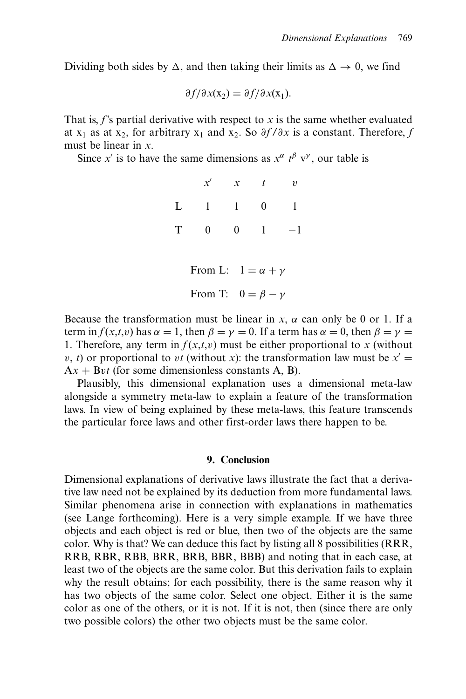Dividing both sides by  $\Delta$ , and then taking their limits as  $\Delta \rightarrow 0$ , we find

$$
\partial f/\partial x(\mathbf{x}_2) = \partial f/\partial x(\mathbf{x}_1).
$$

That is,  $f$ 's partial derivative with respect to  $x$  is the same whether evaluated at  $x_1$  as at  $x_2$ , for arbitrary  $x_1$  and  $x_2$ . So  $\partial f / \partial x$  is a constant. Therefore, *f* must be linear in *x*.

Since x' is to have the same dimensions as  $x^{\alpha}$   $t^{\beta}$  v<sup>γ</sup>, our table is

|   | $\mathbf{v}'$                 | $\mathcal{X}$ | t | 11  |
|---|-------------------------------|---------------|---|-----|
| L | 1                             | 1             | 0 | 1   |
| т | 0                             | 0             | 1 | — 1 |
|   | From L: $1 = \alpha + \gamma$ |               |   |     |
|   | From T: $0 = \beta - \gamma$  |               |   |     |

Because the transformation must be linear in  $x$ ,  $\alpha$  can only be 0 or 1. If a term in  $f(x,t,v)$  has  $\alpha = 1$ , then  $\beta = \gamma = 0$ . If a term has  $\alpha = 0$ , then  $\beta = \gamma =$ 1. Therefore, any term in  $f(x,t,v)$  must be either proportional to x (without  $v, t$ ) or proportional to *vt* (without *x*): the transformation law must be  $x' =$  $Ax + Bvt$  (for some dimensionless constants A, B).

Plausibly, this dimensional explanation uses a dimensional meta-law alongside a symmetry meta-law to explain a feature of the transformation laws. In view of being explained by these meta-laws, this feature transcends the particular force laws and other first-order laws there happen to be.

## **9. Conclusion**

Dimensional explanations of derivative laws illustrate the fact that a derivative law need not be explained by its deduction from more fundamental laws. Similar phenomena arise in connection with explanations in mathematics (see Lange forthcoming). Here is a very simple example. If we have three objects and each object is red or blue, then two of the objects are the same color. Why is that? We can deduce this fact by listing all 8 possibilities (RRR, RRB, RBR, RBB, BRR, BRB, BBR, BBB) and noting that in each case, at least two of the objects are the same color. But this derivation fails to explain why the result obtains; for each possibility, there is the same reason why it has two objects of the same color. Select one object. Either it is the same color as one of the others, or it is not. If it is not, then (since there are only two possible colors) the other two objects must be the same color.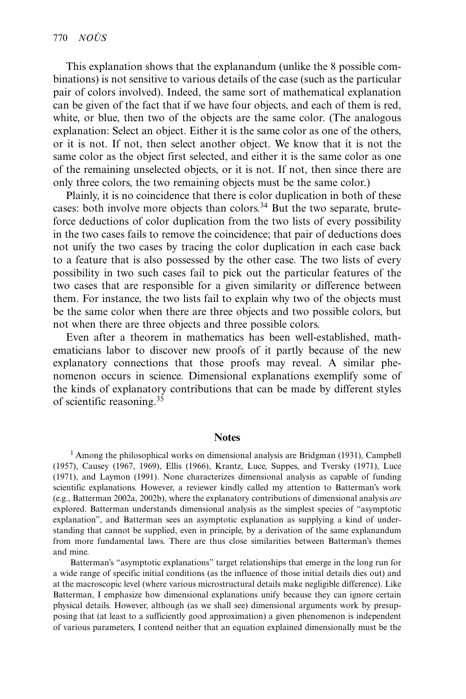This explanation shows that the explanandum (unlike the 8 possible combinations) is not sensitive to various details of the case (such as the particular pair of colors involved). Indeed, the same sort of mathematical explanation can be given of the fact that if we have four objects, and each of them is red, white, or blue, then two of the objects are the same color. (The analogous explanation: Select an object. Either it is the same color as one of the others, or it is not. If not, then select another object. We know that it is not the same color as the object first selected, and either it is the same color as one of the remaining unselected objects, or it is not. If not, then since there are only three colors, the two remaining objects must be the same color.)

Plainly, it is no coincidence that there is color duplication in both of these cases: both involve more objects than colors.<sup>34</sup> But the two separate, bruteforce deductions of color duplication from the two lists of every possibility in the two cases fails to remove the coincidence; that pair of deductions does not unify the two cases by tracing the color duplication in each case back to a feature that is also possessed by the other case. The two lists of every possibility in two such cases fail to pick out the particular features of the two cases that are responsible for a given similarity or difference between them. For instance, the two lists fail to explain why two of the objects must be the same color when there are three objects and two possible colors, but not when there are three objects and three possible colors.

Even after a theorem in mathematics has been well-established, mathematicians labor to discover new proofs of it partly because of the new explanatory connections that those proofs may reveal. A similar phenomenon occurs in science. Dimensional explanations exemplify some of the kinds of explanatory contributions that can be made by different styles of scientific reasoning.35

### **Notes**

<sup>1</sup> Among the philosophical works on dimensional analysis are Bridgman (1931), Campbell (1957), Causey (1967, 1969), Ellis (1966), Krantz, Luce, Suppes, and Tversky (1971), Luce (1971), and Laymon (1991). None characterizes dimensional analysis as capable of funding scientific explanations. However, a reviewer kindly called my attention to Batterman's work (e.g., Batterman 2002a, 2002b), where the explanatory contributions of dimensional analysis *are* explored. Batterman understands dimensional analysis as the simplest species of "asymptotic explanation", and Batterman sees an asymptotic explanation as supplying a kind of understanding that cannot be supplied, even in principle, by a derivation of the same explanandum from more fundamental laws. There are thus close similarities between Batterman's themes and mine.

Batterman's "asymptotic explanations" target relationships that emerge in the long run for a wide range of specific initial conditions (as the influence of those initial details dies out) and at the macroscopic level (where various microstructural details make negligible difference). Like Batterman, I emphasize how dimensional explanations unify because they can ignore certain physical details. However, although (as we shall see) dimensional arguments work by presupposing that (at least to a sufficiently good approximation) a given phenomenon is independent of various parameters, I contend neither that an equation explained dimensionally must be the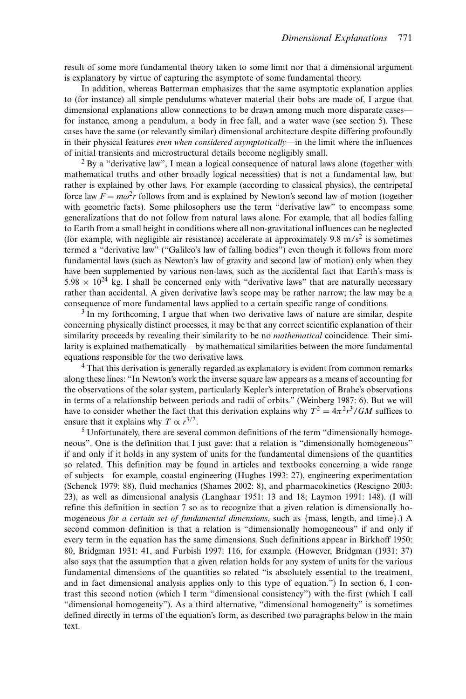result of some more fundamental theory taken to some limit nor that a dimensional argument is explanatory by virtue of capturing the asymptote of some fundamental theory.

In addition, whereas Batterman emphasizes that the same asymptotic explanation applies to (for instance) all simple pendulums whatever material their bobs are made of, I argue that dimensional explanations allow connections to be drawn among much more disparate cases for instance, among a pendulum, a body in free fall, and a water wave (see section 5). These cases have the same (or relevantly similar) dimensional architecture despite differing profoundly in their physical features *even when considered asymptotically*—in the limit where the influences of initial transients and microstructural details become negligibly small.

<sup>2</sup> By a "derivative law", I mean a logical consequence of natural laws alone (together with mathematical truths and other broadly logical necessities) that is not a fundamental law, but rather is explained by other laws. For example (according to classical physics), the centripetal force law  $F = m\omega^2 r$  follows from and is explained by Newton's second law of motion (together with geometric facts). Some philosophers use the term "derivative law" to encompass some generalizations that do not follow from natural laws alone. For example, that all bodies falling to Earth from a small height in conditions where all non-gravitational influences can be neglected (for example, with negligible air resistance) accelerate at approximately 9.8 m/s<sup>2</sup> is sometimes termed a "derivative law" ("Galileo's law of falling bodies") even though it follows from more fundamental laws (such as Newton's law of gravity and second law of motion) only when they have been supplemented by various non-laws, such as the accidental fact that Earth's mass is  $5.98 \times 10^{24}$  kg. I shall be concerned only with "derivative laws" that are naturally necessary rather than accidental. A given derivative law's scope may be rather narrow; the law may be a consequence of more fundamental laws applied to a certain specific range of conditions.

<sup>3</sup> In my forthcoming, I argue that when two derivative laws of nature are similar, despite concerning physically distinct processes, it may be that any correct scientific explanation of their similarity proceeds by revealing their similarity to be no *mathematical* coincidence. Their similarity is explained mathematically—by mathematical similarities between the more fundamental equations responsible for the two derivative laws.

<sup>4</sup> That this derivation is generally regarded as explanatory is evident from common remarks along these lines: "In Newton's work the inverse square law appears as a means of accounting for the observations of the solar system, particularly Kepler's interpretation of Brahe's observations in terms of a relationship between periods and radii of orbits." (Weinberg 1987: 6). But we will have to consider whether the fact that this derivation explains why  $T^2 = 4\pi^2 r^3/GM$  suffices to ensure that it explains why  $T \propto r^{3/2}$ .

<sup>5</sup> Unfortunately, there are several common definitions of the term "dimensionally homogeneous". One is the definition that I just gave: that a relation is "dimensionally homogeneous" if and only if it holds in any system of units for the fundamental dimensions of the quantities so related. This definition may be found in articles and textbooks concerning a wide range of subjects—for example, coastal engineering (Hughes 1993: 27), engineering experimentation (Schenck 1979: 88), fluid mechanics (Shames 2002: 8), and pharmacokinetics (Rescigno 2003: 23), as well as dimensional analysis (Langhaar 1951: 13 and 18; Laymon 1991: 148). (I will refine this definition in section 7 so as to recognize that a given relation is dimensionally homogeneous *for a certain set of fundamental dimensions*, such as {mass, length, and time}.) A second common definition is that a relation is "dimensionally homogeneous" if and only if every term in the equation has the same dimensions. Such definitions appear in Birkhoff 1950: 80, Bridgman 1931: 41, and Furbish 1997: 116, for example. (However, Bridgman (1931: 37) also says that the assumption that a given relation holds for any system of units for the various fundamental dimensions of the quantities so related "is absolutely essential to the treatment, and in fact dimensional analysis applies only to this type of equation.") In section 6, I contrast this second notion (which I term "dimensional consistency") with the first (which I call "dimensional homogeneity"). As a third alternative, "dimensional homogeneity" is sometimes defined directly in terms of the equation's form, as described two paragraphs below in the main text.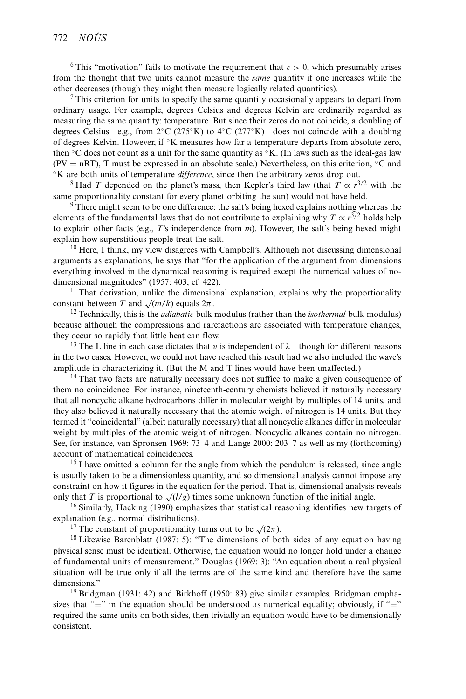$6$  This "motivation" fails to motivate the requirement that  $c > 0$ , which presumably arises from the thought that two units cannot measure the *same* quantity if one increases while the other decreases (though they might then measure logically related quantities).

 $<sup>7</sup>$  This criterion for units to specify the same quantity occasionally appears to depart from</sup> ordinary usage. For example, degrees Celsius and degrees Kelvin are ordinarily regarded as measuring the same quantity: temperature. But since their zeros do not coincide, a doubling of degrees Celsius—e.g., from  $2°C$  (275°K) to  $4°C$  (277°K)—does not coincide with a doubling of degrees Kelvin. However, if ◦K measures how far a temperature departs from absolute zero, then  $\degree$ C does not count as a unit for the same quantity as  $\degree$ K. (In laws such as the ideal-gas law ( $PV = nRT$ ), T must be expressed in an absolute scale.) Nevertheless, on this criterion,  $\degree C$  and ◦K are both units of temperature *difference*, since then the arbitrary zeros drop out.

<sup>8</sup> Had *T* depended on the planet's mass, then Kepler's third law (that  $T \propto r^{3/2}$  with the same proportionality constant for every planet orbiting the sun) would not have held.

<sup>9</sup> There might seem to be one difference: the salt's being hexed explains nothing whereas the elements of the fundamental laws that do not contribute to explaining why  $T \propto r^{3/2}$  holds help to explain other facts (e.g., *T*'s independence from *m*). However, the salt's being hexed might explain how superstitious people treat the salt.

 $10$  Here, I think, my view disagrees with Campbell's. Although not discussing dimensional arguments as explanations, he says that "for the application of the argument from dimensions everything involved in the dynamical reasoning is required except the numerical values of nodimensional magnitudes" (1957: 403, cf. 422).

<sup>11</sup> That derivation, unlike the dimensional explanation, explains why the proportionality constant between *T* and  $\sqrt{(m/k)}$  equals  $2\pi$ .

<sup>12</sup> Technically, this is the *adiabatic* bulk modulus (rather than the *isothermal* bulk modulus) because although the compressions and rarefactions are associated with temperature changes, they occur so rapidly that little heat can flow.

<sup>13</sup> The L line in each case dictates that v is independent of  $\lambda$ —though for different reasons in the two cases. However, we could not have reached this result had we also included the wave's amplitude in characterizing it. (But the M and T lines would have been unaffected.)

<sup>14</sup> That two facts are naturally necessary does not suffice to make a given consequence of them no coincidence. For instance, nineteenth-century chemists believed it naturally necessary that all noncyclic alkane hydrocarbons differ in molecular weight by multiples of 14 units, and they also believed it naturally necessary that the atomic weight of nitrogen is 14 units. But they termed it "coincidental" (albeit naturally necessary) that all noncyclic alkanes differ in molecular weight by multiples of the atomic weight of nitrogen. Noncyclic alkanes contain no nitrogen. See, for instance, van Spronsen 1969: 73–4 and Lange 2000: 203–7 as well as my (forthcoming) account of mathematical coincidences.

<sup>15</sup> I have omitted a column for the angle from which the pendulum is released, since angle is usually taken to be a dimensionless quantity, and so dimensional analysis cannot impose any constraint on how it figures in the equation for the period. That is, dimensional analysis reveals only that *T* is proportional to  $\sqrt{l/g}$  times some unknown function of the initial angle.

<sup>16</sup> Similarly, Hacking (1990) emphasizes that statistical reasoning identifies new targets of explanation (e.g., normal distributions).

<sup>17</sup> The constant of proportionality turns out to be  $\sqrt{2\pi}$ .

<sup>18</sup> Likewise Barenblatt (1987: 5): "The dimensions of both sides of any equation having physical sense must be identical. Otherwise, the equation would no longer hold under a change of fundamental units of measurement." Douglas (1969: 3): "An equation about a real physical situation will be true only if all the terms are of the same kind and therefore have the same dimensions."

<sup>19</sup> Bridgman (1931: 42) and Birkhoff (1950: 83) give similar examples. Bridgman emphasizes that "=" in the equation should be understood as numerical equality; obviously, if "=" required the same units on both sides, then trivially an equation would have to be dimensionally consistent.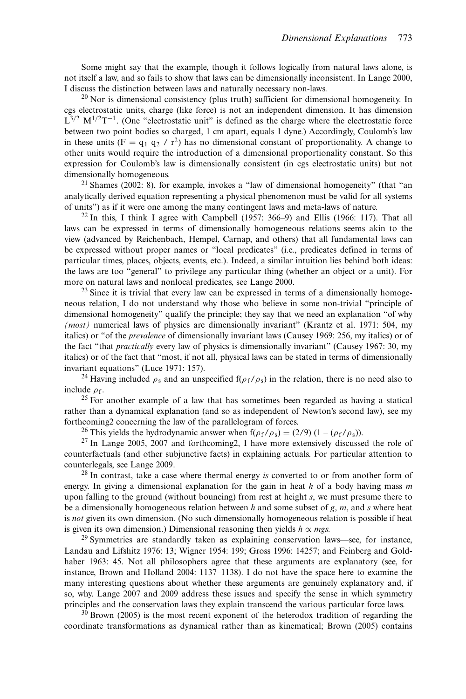Some might say that the example, though it follows logically from natural laws alone, is not itself a law, and so fails to show that laws can be dimensionally inconsistent. In Lange 2000, I discuss the distinction between laws and naturally necessary non-laws.

 $^{20}$  Nor is dimensional consistency (plus truth) sufficient for dimensional homogeneity. In cgs electrostatic units, charge (like force) is not an independent dimension. It has dimension  $L^{3/2}$  M<sup>1/2</sup>T<sup>-1</sup>. (One "electrostatic unit" is defined as the charge where the electrostatic force between two point bodies so charged, 1 cm apart, equals 1 dyne.) Accordingly, Coulomb's law in these units (F = q<sub>1</sub> q<sub>2</sub> / r<sup>2</sup>) has no dimensional constant of proportionality. A change to other units would require the introduction of a dimensional proportionality constant. So this expression for Coulomb's law is dimensionally consistent (in cgs electrostatic units) but not dimensionally homogeneous.

<sup>21</sup> Shames (2002: 8), for example, invokes a "law of dimensional homogeneity" (that "an analytically derived equation representing a physical phenomenon must be valid for all systems of units") as if it were one among the many contingent laws and meta-laws of nature.

 $22$  In this, I think I agree with Campbell (1957: 366–9) and Ellis (1966: 117). That all laws can be expressed in terms of dimensionally homogeneous relations seems akin to the view (advanced by Reichenbach, Hempel, Carnap, and others) that all fundamental laws can be expressed without proper names or "local predicates" (i.e., predicates defined in terms of particular times, places, objects, events, etc.). Indeed, a similar intuition lies behind both ideas: the laws are too "general" to privilege any particular thing (whether an object or a unit). For more on natural laws and nonlocal predicates, see Lange 2000.

 $23$  Since it is trivial that every law can be expressed in terms of a dimensionally homogeneous relation, I do not understand why those who believe in some non-trivial "principle of dimensional homogeneity" qualify the principle; they say that we need an explanation "of why *(most)* numerical laws of physics are dimensionally invariant" (Krantz et al. 1971: 504, my italics) or "of the *prevalence* of dimensionally invariant laws (Causey 1969: 256, my italics) or of the fact "that *practically* every law of physics is dimensionally invariant" (Causey 1967: 30, my italics) or of the fact that "most, if not all, physical laws can be stated in terms of dimensionally invariant equations" (Luce 1971: 157).

<sup>24</sup> Having included  $\rho_s$  and an unspecified  $f(\rho_f/\rho_s)$  in the relation, there is no need also to include  $\rho_f$ .<br><sup>25</sup> For another example of a law that has sometimes been regarded as having a statical

rather than a dynamical explanation (and so as independent of Newton's second law), see my forthcoming2 concerning the law of the parallelogram of forces.

<sup>26</sup> This yields the hydrodynamic answer when  $f(\rho_f/\rho_s) = (2/9) (1 - (\rho_f/\rho_s))$ .<br><sup>27</sup> In Lange 2005, 2007 and forthcoming2, I have more extensively discussed the role of

counterfactuals (and other subjunctive facts) in explaining actuals. For particular attention to counterlegals, see Lange 2009.

<sup>28</sup> In contrast, take a case where thermal energy *is* converted to or from another form of energy. In giving a dimensional explanation for the gain in heat *h* of a body having mass *m* upon falling to the ground (without bouncing) from rest at height *s*, we must presume there to be a dimensionally homogeneous relation between *h* and some subset of *g*, *m*, and *s* where heat is *not* given its own dimension. (No such dimensionally homogeneous relation is possible if heat is given its own dimension.) Dimensional reasoning then yields  $h \propto mgs$ .<br><sup>29</sup> Symmetries are standardly taken as explaining conservation laws—see, for instance,

Landau and Lifshitz 1976: 13; Wigner 1954: 199; Gross 1996: 14257; and Feinberg and Goldhaber 1963: 45. Not all philosophers agree that these arguments are explanatory (see, for instance, Brown and Holland 2004: 1137–1138). I do not have the space here to examine the many interesting questions about whether these arguments are genuinely explanatory and, if so, why. Lange 2007 and 2009 address these issues and specify the sense in which symmetry principles and the conservation laws they explain transcend the various particular force laws.

<sup>30</sup> Brown (2005) is the most recent exponent of the heterodox tradition of regarding the coordinate transformations as dynamical rather than as kinematical; Brown (2005) contains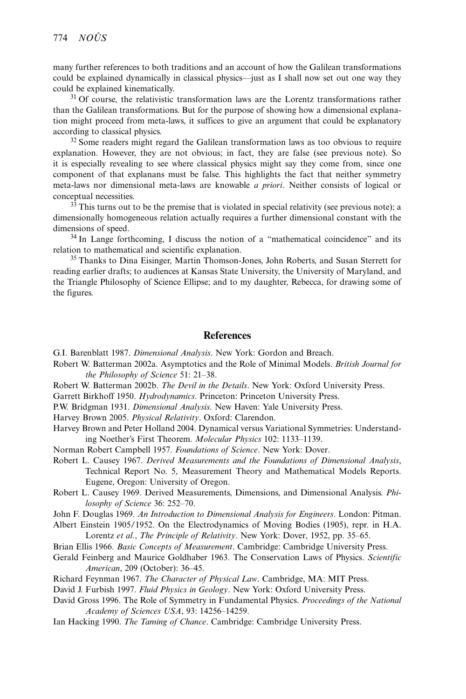many further references to both traditions and an account of how the Galilean transformations could be explained dynamically in classical physics—just as I shall now set out one way they could be explained kinematically.

<sup>31</sup> Of course, the relativistic transformation laws are the Lorentz transformations rather than the Galilean transformations. But for the purpose of showing how a dimensional explanation might proceed from meta-laws, it suffices to give an argument that could be explanatory according to classical physics.

<sup>32</sup> Some readers might regard the Galilean transformation laws as too obvious to require explanation. However, they are not obvious; in fact, they are false (see previous note). So it is especially revealing to see where classical physics might say they come from, since one component of that explanans must be false. This highlights the fact that neither symmetry meta-laws nor dimensional meta-laws are knowable *a priori*. Neither consists of logical or conceptual necessities.

 $33$  This turns out to be the premise that is violated in special relativity (see previous note); a dimensionally homogeneous relation actually requires a further dimensional constant with the dimensions of speed.

<sup>34</sup> In Lange forthcoming, I discuss the notion of a "mathematical coincidence" and its relation to mathematical and scientific explanation.

<sup>35</sup> Thanks to Dina Eisinger, Martin Thomson-Jones, John Roberts, and Susan Sterrett for reading earlier drafts; to audiences at Kansas State University, the University of Maryland, and the Triangle Philosophy of Science Ellipse; and to my daughter, Rebecca, for drawing some of the figures.

#### **References**

G.I. Barenblatt 1987. *Dimensional Analysis*. New York: Gordon and Breach.

Robert W. Batterman 2002a. Asymptotics and the Role of Minimal Models. *British Journal for the Philosophy of Science* 51: 21–38.

Robert W. Batterman 2002b. *The Devil in the Details*. New York: Oxford University Press.

Garrett Birkhoff 1950. *Hydrodynamics*. Princeton: Princeton University Press.

P.W. Bridgman 1931. *Dimensional Analysis*. New Haven: Yale University Press.

Harvey Brown 2005. *Physical Relativity*. Oxford: Clarendon.

Harvey Brown and Peter Holland 2004. Dynamical versus Variational Symmetries: Understanding Noether's First Theorem. *Molecular Physics* 102: 1133–1139.

Norman Robert Campbell 1957. *Foundations of Science*. New York: Dover.

Robert L. Causey 1967. *Derived Measurements and the Foundations of Dimensional Analysis*, Technical Report No. 5, Measurement Theory and Mathematical Models Reports. Eugene, Oregon: University of Oregon.

Robert L. Causey 1969. Derived Measurements, Dimensions, and Dimensional Analysis. *Philosophy of Science* 36: 252–70.

John F. Douglas 1969. *An Introduction to Dimensional Analysis for Engineers*. London: Pitman.

- Albert Einstein 1905/1952. On the Electrodynamics of Moving Bodies (1905), repr. in H.A. Lorentz *et al.*, *The Principle of Relativity*. New York: Dover, 1952, pp. 35–65.
- Brian Ellis 1966. *Basic Concepts of Measurement*. Cambridge: Cambridge University Press.
- Gerald Feinberg and Maurice Goldhaber 1963. The Conservation Laws of Physics. *Scientific American*, 209 (October): 36–45.
- Richard Feynman 1967. *The Character of Physical Law*. Cambridge, MA: MIT Press.

David J. Furbish 1997. *Fluid Physics in Geology*. New York: Oxford University Press.

David Gross 1996. The Role of Symmetry in Fundamental Physics. *Proceedings of the National Academy of Sciences USA*, 93: 14256–14259.

Ian Hacking 1990. *The Taming of Chance*. Cambridge: Cambridge University Press.